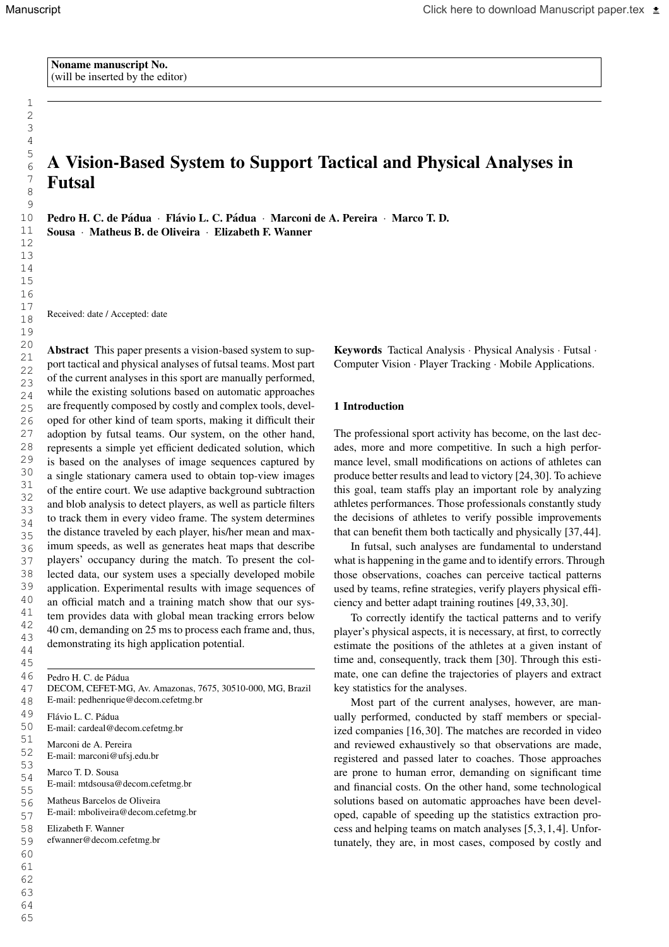1

# A Vision-Based System to Support Tactical and Physical Analyses in Futsal

Pedro H. C. de Pádua · Flávio L. C. Pádua · Marconi de A. Pereira · Marco T. D. Sousa · Matheus B. de Oliveira · Elizabeth F. Wanner

Received: date / Accepted: date

Abstract This paper presents a vision-based system to support tactical and physical analyses of futsal teams. Most part of the current analyses in this sport are manually performed, while the existing solutions based on automatic approaches are frequently composed by costly and complex tools, developed for other kind of team sports, making it difficult their adoption by futsal teams. Our system, on the other hand, represents a simple yet efficient dedicated solution, which is based on the analyses of image sequences captured by a single stationary camera used to obtain top-view images of the entire court. We use adaptive background subtraction and blob analysis to detect players, as well as particle filters to track them in every video frame. The system determines the distance traveled by each player, his/her mean and maximum speeds, as well as generates heat maps that describe players' occupancy during the match. To present the collected data, our system uses a specially developed mobile application. Experimental results with image sequences of an official match and a training match show that our system provides data with global mean tracking errors below 40 cm, demanding on 25 ms to process each frame and, thus, demonstrating its high application potential.

Pedro H. C. de Pádua DECOM, CEFET-MG, Av. Amazonas, 7675, 30510-000, MG, Brazil E-mail: pedhenrique@decom.cefetmg.br

Flávio L. C. Pádua E-mail: cardeal@decom.cefetmg.br Marconi de A. Pereira E-mail: marconi@ufsj.edu.br Marco T. D. Sousa E-mail: mtdsousa@decom.cefetmg.br Matheus Barcelos de Oliveira

E-mail: mboliveira@decom.cefetmg.br

Elizabeth F. Wanner

efwanner@decom.cefetmg.br

Keywords Tactical Analysis · Physical Analysis · Futsal · Computer Vision · Player Tracking · Mobile Applications.

## 1 Introduction

The professional sport activity has become, on the last decades, more and more competitive. In such a high performance level, small modifications on actions of athletes can produce better results and lead to victory [24,30]. To achieve this goal, team staffs play an important role by analyzing athletes performances. Those professionals constantly study the decisions of athletes to verify possible improvements that can benefit them both tactically and physically [37,44].

In futsal, such analyses are fundamental to understand what is happening in the game and to identify errors. Through those observations, coaches can perceive tactical patterns used by teams, refine strategies, verify players physical efficiency and better adapt training routines [49,33,30].

To correctly identify the tactical patterns and to verify player's physical aspects, it is necessary, at first, to correctly estimate the positions of the athletes at a given instant of time and, consequently, track them [30]. Through this estimate, one can define the trajectories of players and extract key statistics for the analyses.

Most part of the current analyses, however, are manually performed, conducted by staff members or specialized companies [16,30]. The matches are recorded in video and reviewed exhaustively so that observations are made, registered and passed later to coaches. Those approaches are prone to human error, demanding on significant time and financial costs. On the other hand, some technological solutions based on automatic approaches have been developed, capable of speeding up the statistics extraction process and helping teams on match analyses [5,3,1,4]. Unfortunately, they are, in most cases, composed by costly and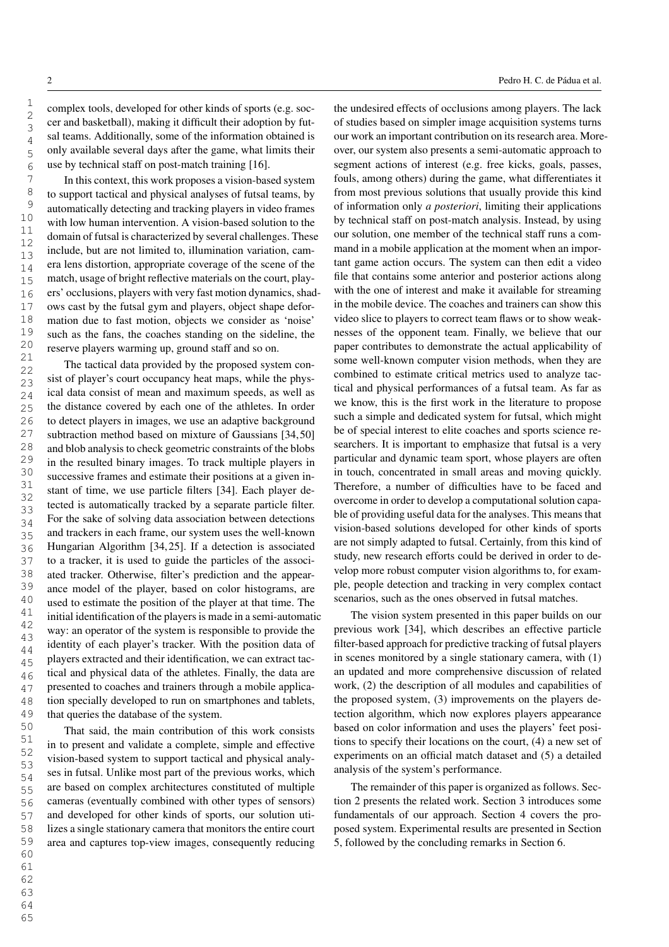complex tools, developed for other kinds of sports (e.g. soccer and basketball), making it difficult their adoption by futsal teams. Additionally, some of the information obtained is only available several days after the game, what limits their use by technical staff on post-match training [16].

In this context, this work proposes a vision-based system to support tactical and physical analyses of futsal teams, by automatically detecting and tracking players in video frames with low human intervention. A vision-based solution to the domain of futsal is characterized by several challenges. These include, but are not limited to, illumination variation, camera lens distortion, appropriate coverage of the scene of the match, usage of bright reflective materials on the court, players' occlusions, players with very fast motion dynamics, shadows cast by the futsal gym and players, object shape deformation due to fast motion, objects we consider as 'noise' such as the fans, the coaches standing on the sideline, the reserve players warming up, ground staff and so on.

The tactical data provided by the proposed system consist of player's court occupancy heat maps, while the physical data consist of mean and maximum speeds, as well as the distance covered by each one of the athletes. In order to detect players in images, we use an adaptive background subtraction method based on mixture of Gaussians [34,50] and blob analysis to check geometric constraints of the blobs in the resulted binary images. To track multiple players in successive frames and estimate their positions at a given instant of time, we use particle filters [34]. Each player detected is automatically tracked by a separate particle filter. For the sake of solving data association between detections and trackers in each frame, our system uses the well-known Hungarian Algorithm [34,25]. If a detection is associated to a tracker, it is used to guide the particles of the associated tracker. Otherwise, filter's prediction and the appearance model of the player, based on color histograms, are used to estimate the position of the player at that time. The initial identification of the players is made in a semi-automatic way: an operator of the system is responsible to provide the identity of each player's tracker. With the position data of players extracted and their identification, we can extract tactical and physical data of the athletes. Finally, the data are presented to coaches and trainers through a mobile application specially developed to run on smartphones and tablets, that queries the database of the system.

That said, the main contribution of this work consists in to present and validate a complete, simple and effective vision-based system to support tactical and physical analyses in futsal. Unlike most part of the previous works, which are based on complex architectures constituted of multiple cameras (eventually combined with other types of sensors) and developed for other kinds of sports, our solution utilizes a single stationary camera that monitors the entire court area and captures top-view images, consequently reducing the undesired effects of occlusions among players. The lack of studies based on simpler image acquisition systems turns our work an important contribution on its research area. Moreover, our system also presents a semi-automatic approach to segment actions of interest (e.g. free kicks, goals, passes, fouls, among others) during the game, what differentiates it from most previous solutions that usually provide this kind of information only *a posteriori*, limiting their applications by technical staff on post-match analysis. Instead, by using our solution, one member of the technical staff runs a command in a mobile application at the moment when an important game action occurs. The system can then edit a video file that contains some anterior and posterior actions along with the one of interest and make it available for streaming in the mobile device. The coaches and trainers can show this video slice to players to correct team flaws or to show weaknesses of the opponent team. Finally, we believe that our paper contributes to demonstrate the actual applicability of some well-known computer vision methods, when they are combined to estimate critical metrics used to analyze tactical and physical performances of a futsal team. As far as we know, this is the first work in the literature to propose such a simple and dedicated system for futsal, which might be of special interest to elite coaches and sports science researchers. It is important to emphasize that futsal is a very particular and dynamic team sport, whose players are often in touch, concentrated in small areas and moving quickly. Therefore, a number of difficulties have to be faced and overcome in order to develop a computational solution capable of providing useful data for the analyses. This means that vision-based solutions developed for other kinds of sports are not simply adapted to futsal. Certainly, from this kind of study, new research efforts could be derived in order to develop more robust computer vision algorithms to, for example, people detection and tracking in very complex contact scenarios, such as the ones observed in futsal matches.

The vision system presented in this paper builds on our previous work [34], which describes an effective particle filter-based approach for predictive tracking of futsal players in scenes monitored by a single stationary camera, with (1) an updated and more comprehensive discussion of related work, (2) the description of all modules and capabilities of the proposed system, (3) improvements on the players detection algorithm, which now explores players appearance based on color information and uses the players' feet positions to specify their locations on the court, (4) a new set of experiments on an official match dataset and (5) a detailed analysis of the system's performance.

The remainder of this paper is organized as follows. Section 2 presents the related work. Section 3 introduces some fundamentals of our approach. Section 4 covers the proposed system. Experimental results are presented in Section 5, followed by the concluding remarks in Section 6.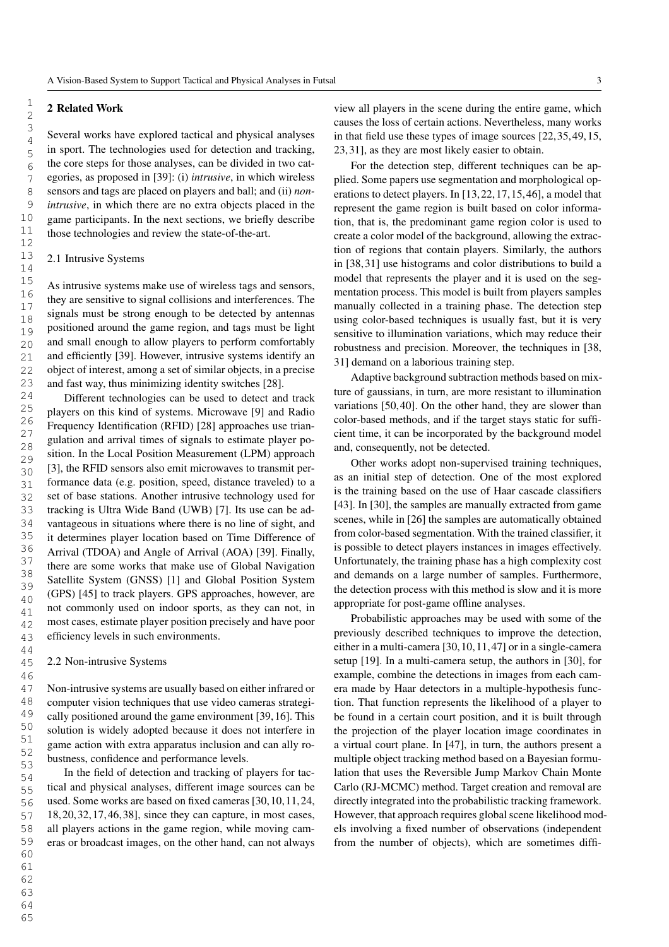# 2 Related Work

Several works have explored tactical and physical analyses in sport. The technologies used for detection and tracking, the core steps for those analyses, can be divided in two categories, as proposed in [39]: (i) *intrusive*, in which wireless sensors and tags are placed on players and ball; and (ii) *nonintrusive*, in which there are no extra objects placed in the game participants. In the next sections, we briefly describe those technologies and review the state-of-the-art.

## 2.1 Intrusive Systems

As intrusive systems make use of wireless tags and sensors, they are sensitive to signal collisions and interferences. The signals must be strong enough to be detected by antennas positioned around the game region, and tags must be light and small enough to allow players to perform comfortably and efficiently [39]. However, intrusive systems identify an object of interest, among a set of similar objects, in a precise and fast way, thus minimizing identity switches [28].

Different technologies can be used to detect and track players on this kind of systems. Microwave [9] and Radio Frequency Identification (RFID) [28] approaches use triangulation and arrival times of signals to estimate player position. In the Local Position Measurement (LPM) approach [3], the RFID sensors also emit microwaves to transmit performance data (e.g. position, speed, distance traveled) to a set of base stations. Another intrusive technology used for tracking is Ultra Wide Band (UWB) [7]. Its use can be advantageous in situations where there is no line of sight, and it determines player location based on Time Difference of Arrival (TDOA) and Angle of Arrival (AOA) [39]. Finally, there are some works that make use of Global Navigation Satellite System (GNSS) [1] and Global Position System (GPS) [45] to track players. GPS approaches, however, are not commonly used on indoor sports, as they can not, in most cases, estimate player position precisely and have poor efficiency levels in such environments.

#### 2.2 Non-intrusive Systems

Non-intrusive systems are usually based on either infrared or computer vision techniques that use video cameras strategically positioned around the game environment [39,16]. This solution is widely adopted because it does not interfere in game action with extra apparatus inclusion and can ally robustness, confidence and performance levels.

In the field of detection and tracking of players for tactical and physical analyses, different image sources can be used. Some works are based on fixed cameras [30,10,11,24, 18,20,32,17,46,38], since they can capture, in most cases, all players actions in the game region, while moving cameras or broadcast images, on the other hand, can not always view all players in the scene during the entire game, which causes the loss of certain actions. Nevertheless, many works in that field use these types of image sources [22,35,49,15, 23,31], as they are most likely easier to obtain.

For the detection step, different techniques can be applied. Some papers use segmentation and morphological operations to detect players. In [13,22,17,15,46], a model that represent the game region is built based on color information, that is, the predominant game region color is used to create a color model of the background, allowing the extraction of regions that contain players. Similarly, the authors in [38,31] use histograms and color distributions to build a model that represents the player and it is used on the segmentation process. This model is built from players samples manually collected in a training phase. The detection step using color-based techniques is usually fast, but it is very sensitive to illumination variations, which may reduce their robustness and precision. Moreover, the techniques in [38, 31] demand on a laborious training step.

Adaptive background subtraction methods based on mixture of gaussians, in turn, are more resistant to illumination variations [50,40]. On the other hand, they are slower than color-based methods, and if the target stays static for sufficient time, it can be incorporated by the background model and, consequently, not be detected.

Other works adopt non-supervised training techniques, as an initial step of detection. One of the most explored is the training based on the use of Haar cascade classifiers [43]. In [30], the samples are manually extracted from game scenes, while in [26] the samples are automatically obtained from color-based segmentation. With the trained classifier, it is possible to detect players instances in images effectively. Unfortunately, the training phase has a high complexity cost and demands on a large number of samples. Furthermore, the detection process with this method is slow and it is more appropriate for post-game offline analyses.

Probabilistic approaches may be used with some of the previously described techniques to improve the detection, either in a multi-camera [30,10,11,47] or in a single-camera setup [19]. In a multi-camera setup, the authors in [30], for example, combine the detections in images from each camera made by Haar detectors in a multiple-hypothesis function. That function represents the likelihood of a player to be found in a certain court position, and it is built through the projection of the player location image coordinates in a virtual court plane. In [47], in turn, the authors present a multiple object tracking method based on a Bayesian formulation that uses the Reversible Jump Markov Chain Monte Carlo (RJ-MCMC) method. Target creation and removal are directly integrated into the probabilistic tracking framework. However, that approach requires global scene likelihood models involving a fixed number of observations (independent from the number of objects), which are sometimes diffi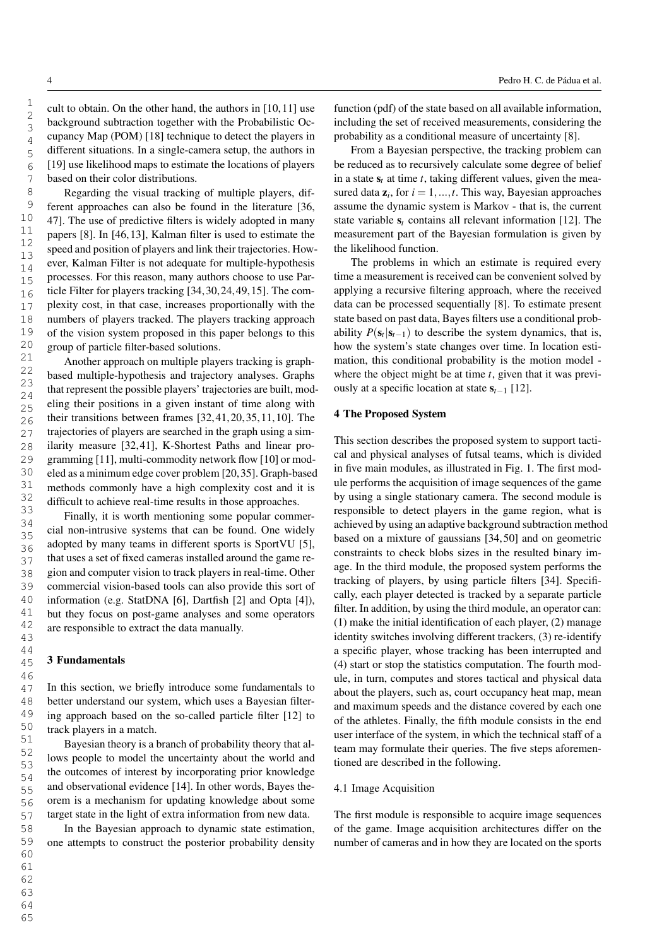cult to obtain. On the other hand, the authors in [10,11] use background subtraction together with the Probabilistic Occupancy Map (POM) [18] technique to detect the players in different situations. In a single-camera setup, the authors in [19] use likelihood maps to estimate the locations of players based on their color distributions.

Regarding the visual tracking of multiple players, different approaches can also be found in the literature [36, 47]. The use of predictive filters is widely adopted in many papers [8]. In [46,13], Kalman filter is used to estimate the speed and position of players and link their trajectories. However, Kalman Filter is not adequate for multiple-hypothesis processes. For this reason, many authors choose to use Particle Filter for players tracking [34,30,24,49,15]. The complexity cost, in that case, increases proportionally with the numbers of players tracked. The players tracking approach of the vision system proposed in this paper belongs to this group of particle filter-based solutions.

Another approach on multiple players tracking is graphbased multiple-hypothesis and trajectory analyses. Graphs that represent the possible players' trajectories are built, modeling their positions in a given instant of time along with their transitions between frames [32,41,20,35,11,10]. The trajectories of players are searched in the graph using a similarity measure [32,41], K-Shortest Paths and linear programming [11], multi-commodity network flow [10] or modeled as a minimum edge cover problem [20,35]. Graph-based methods commonly have a high complexity cost and it is difficult to achieve real-time results in those approaches.

Finally, it is worth mentioning some popular commercial non-intrusive systems that can be found. One widely adopted by many teams in different sports is SportVU [5], that uses a set of fixed cameras installed around the game region and computer vision to track players in real-time. Other commercial vision-based tools can also provide this sort of information (e.g. StatDNA [6], Dartfish [2] and Opta [4]), but they focus on post-game analyses and some operators are responsible to extract the data manually.

# 3 Fundamentals

In this section, we briefly introduce some fundamentals to better understand our system, which uses a Bayesian filtering approach based on the so-called particle filter [12] to track players in a match.

Bayesian theory is a branch of probability theory that allows people to model the uncertainty about the world and the outcomes of interest by incorporating prior knowledge and observational evidence [14]. In other words, Bayes theorem is a mechanism for updating knowledge about some target state in the light of extra information from new data.

In the Bayesian approach to dynamic state estimation, one attempts to construct the posterior probability density function (pdf) of the state based on all available information, including the set of received measurements, considering the probability as a conditional measure of uncertainty [8].

From a Bayesian perspective, the tracking problem can be reduced as to recursively calculate some degree of belief in a state  $s_t$  at time  $t$ , taking different values, given the measured data  $z_i$ , for  $i = 1, ..., t$ . This way, Bayesian approaches assume the dynamic system is Markov - that is, the current state variable  $s_t$  contains all relevant information [12]. The measurement part of the Bayesian formulation is given by the likelihood function.

The problems in which an estimate is required every time a measurement is received can be convenient solved by applying a recursive filtering approach, where the received data can be processed sequentially [8]. To estimate present state based on past data, Bayes filters use a conditional probability  $P(\mathbf{s}_t | \mathbf{s}_{t-1})$  to describe the system dynamics, that is, how the system's state changes over time. In location estimation, this conditional probability is the motion model where the object might be at time *t*, given that it was previously at a specific location at state s*t*−<sup>1</sup> [12].

# 4 The Proposed System

This section describes the proposed system to support tactical and physical analyses of futsal teams, which is divided in five main modules, as illustrated in Fig. 1. The first module performs the acquisition of image sequences of the game by using a single stationary camera. The second module is responsible to detect players in the game region, what is achieved by using an adaptive background subtraction method based on a mixture of gaussians [34,50] and on geometric constraints to check blobs sizes in the resulted binary image. In the third module, the proposed system performs the tracking of players, by using particle filters [34]. Specifically, each player detected is tracked by a separate particle filter. In addition, by using the third module, an operator can: (1) make the initial identification of each player, (2) manage identity switches involving different trackers, (3) re-identify a specific player, whose tracking has been interrupted and (4) start or stop the statistics computation. The fourth module, in turn, computes and stores tactical and physical data about the players, such as, court occupancy heat map, mean and maximum speeds and the distance covered by each one of the athletes. Finally, the fifth module consists in the end user interface of the system, in which the technical staff of a team may formulate their queries. The five steps aforementioned are described in the following.

#### 4.1 Image Acquisition

The first module is responsible to acquire image sequences of the game. Image acquisition architectures differ on the number of cameras and in how they are located on the sports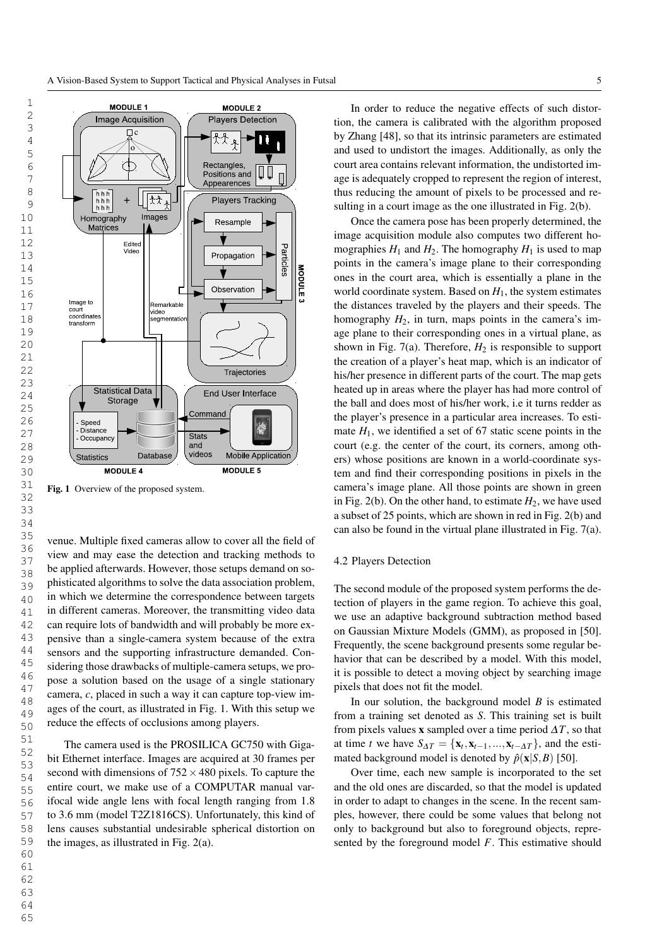

Fig. 1 Overview of the proposed system.

venue. Multiple fixed cameras allow to cover all the field of view and may ease the detection and tracking methods to be applied afterwards. However, those setups demand on sophisticated algorithms to solve the data association problem, in which we determine the correspondence between targets in different cameras. Moreover, the transmitting video data can require lots of bandwidth and will probably be more expensive than a single-camera system because of the extra sensors and the supporting infrastructure demanded. Considering those drawbacks of multiple-camera setups, we propose a solution based on the usage of a single stationary camera, *c*, placed in such a way it can capture top-view images of the court, as illustrated in Fig. 1. With this setup we reduce the effects of occlusions among players.

The camera used is the PROSILICA GC750 with Gigabit Ethernet interface. Images are acquired at 30 frames per second with dimensions of  $752 \times 480$  pixels. To capture the entire court, we make use of a COMPUTAR manual varifocal wide angle lens with focal length ranging from 1.8 to 3.6 mm (model T2Z1816CS). Unfortunately, this kind of lens causes substantial undesirable spherical distortion on the images, as illustrated in Fig. 2(a).

In order to reduce the negative effects of such distortion, the camera is calibrated with the algorithm proposed by Zhang [48], so that its intrinsic parameters are estimated and used to undistort the images. Additionally, as only the court area contains relevant information, the undistorted image is adequately cropped to represent the region of interest, thus reducing the amount of pixels to be processed and resulting in a court image as the one illustrated in Fig. 2(b).

Once the camera pose has been properly determined, the image acquisition module also computes two different homographies  $H_1$  and  $H_2$ . The homography  $H_1$  is used to map points in the camera's image plane to their corresponding ones in the court area, which is essentially a plane in the world coordinate system. Based on  $H<sub>1</sub>$ , the system estimates the distances traveled by the players and their speeds. The homography *H*2, in turn, maps points in the camera's image plane to their corresponding ones in a virtual plane, as shown in Fig.  $7(a)$ . Therefore,  $H_2$  is responsible to support the creation of a player's heat map, which is an indicator of his/her presence in different parts of the court. The map gets heated up in areas where the player has had more control of the ball and does most of his/her work, i.e it turns redder as the player's presence in a particular area increases. To estimate  $H_1$ , we identified a set of 67 static scene points in the court (e.g. the center of the court, its corners, among others) whose positions are known in a world-coordinate system and find their corresponding positions in pixels in the camera's image plane. All those points are shown in green in Fig. 2(b). On the other hand, to estimate  $H_2$ , we have used a subset of 25 points, which are shown in red in Fig. 2(b) and can also be found in the virtual plane illustrated in Fig. 7(a).

## 4.2 Players Detection

The second module of the proposed system performs the detection of players in the game region. To achieve this goal, we use an adaptive background subtraction method based on Gaussian Mixture Models (GMM), as proposed in [50]. Frequently, the scene background presents some regular behavior that can be described by a model. With this model, it is possible to detect a moving object by searching image pixels that does not fit the model.

In our solution, the background model *B* is estimated from a training set denoted as *S*. This training set is built from pixels values **x** sampled over a time period  $\Delta T$ , so that at time *t* we have  $S_{\Delta T} = {\mathbf{x}_t, \mathbf{x}_{t-1}, ..., \mathbf{x}_{t-\Delta T}}$ , and the estimated background model is denoted by  $\hat{p}(\mathbf{x}|S,B)$  [50].

Over time, each new sample is incorporated to the set and the old ones are discarded, so that the model is updated in order to adapt to changes in the scene. In the recent samples, however, there could be some values that belong not only to background but also to foreground objects, represented by the foreground model *F*. This estimative should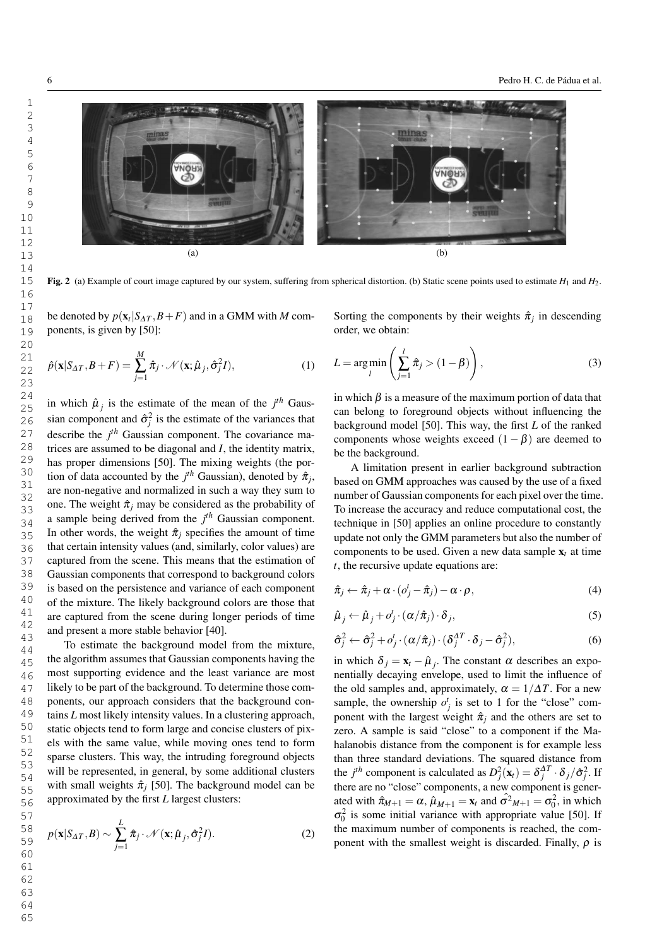

Fig. 2 (a) Example of court image captured by our system, suffering from spherical distortion. (b) Static scene points used to estimate  $H_1$  and  $H_2$ .

be denoted by  $p(\mathbf{x}_t | S_{\Delta T}, B + F)$  and in a GMM with *M* components, is given by [50]:

$$
\hat{p}(\mathbf{x}|S_{\Delta T}, B + F) = \sum_{j=1}^{M} \hat{\pi}_j \cdot \mathcal{N}(\mathbf{x}; \hat{\mu}_j, \hat{\sigma}_j^2 I), \qquad (1)
$$

in which  $\hat{\mu}_j$  is the estimate of the mean of the  $j^{th}$  Gaussian component and  $\hat{\sigma}_j^2$  is the estimate of the variances that describe the *j th* Gaussian component. The covariance matrices are assumed to be diagonal and *I*, the identity matrix, has proper dimensions [50]. The mixing weights (the portion of data accounted by the  $j<sup>th</sup>$  Gaussian), denoted by  $\hat{\pi}_j$ , are non-negative and normalized in such a way they sum to one. The weight  $\hat{\pi}_i$  may be considered as the probability of a sample being derived from the *j th* Gaussian component. In other words, the weight  $\hat{\pi}_i$  specifies the amount of time that certain intensity values (and, similarly, color values) are captured from the scene. This means that the estimation of Gaussian components that correspond to background colors is based on the persistence and variance of each component of the mixture. The likely background colors are those that are captured from the scene during longer periods of time and present a more stable behavior [40].

To estimate the background model from the mixture, the algorithm assumes that Gaussian components having the most supporting evidence and the least variance are most likely to be part of the background. To determine those components, our approach considers that the background contains *L* most likely intensity values. In a clustering approach, static objects tend to form large and concise clusters of pixels with the same value, while moving ones tend to form sparse clusters. This way, the intruding foreground objects will be represented, in general, by some additional clusters with small weights  $\hat{\pi}_i$  [50]. The background model can be approximated by the first *L* largest clusters:

$$
p(\mathbf{x}|S_{\Delta T},B) \sim \sum_{j=1}^{L} \hat{\pi}_j \cdot \mathcal{N}(\mathbf{x};\hat{\mu}_j,\hat{\sigma}_j^2 I). \tag{2}
$$

Sorting the components by their weights  $\hat{\pi}_j$  in descending order, we obtain:

$$
L = \underset{l}{\arg\min} \left( \sum_{j=1}^{l} \hat{\pi}_j > (1 - \beta) \right),\tag{3}
$$

in which  $\beta$  is a measure of the maximum portion of data that can belong to foreground objects without influencing the background model [50]. This way, the first *L* of the ranked components whose weights exceed  $(1 - \beta)$  are deemed to be the background.

A limitation present in earlier background subtraction based on GMM approaches was caused by the use of a fixed number of Gaussian components for each pixel over the time. To increase the accuracy and reduce computational cost, the technique in [50] applies an online procedure to constantly update not only the GMM parameters but also the number of components to be used. Given a new data sample  $x_t$  at time *t*, the recursive update equations are:

$$
\hat{\pi}_j \leftarrow \hat{\pi}_j + \alpha \cdot (\omicron_j^t - \hat{\pi}_j) - \alpha \cdot \rho, \tag{4}
$$

$$
\hat{\mu}_j \leftarrow \hat{\mu}_j + o_j^t \cdot (\alpha/\hat{\pi}_j) \cdot \delta_j,
$$
\n(5)

$$
\hat{\sigma}_j^2 \leftarrow \hat{\sigma}_j^2 + o_j^t \cdot (\alpha/\hat{\pi}_j) \cdot (\delta_j^{AT} \cdot \delta_j - \hat{\sigma}_j^2),
$$
\n(6)

in which  $\delta_j = \mathbf{x}_t - \hat{\boldsymbol{\mu}}_j$ . The constant  $\alpha$  describes an exponentially decaying envelope, used to limit the influence of the old samples and, approximately,  $\alpha = 1/\Delta T$ . For a new sample, the ownership  $o_j^t$  is set to 1 for the "close" component with the largest weight  $\hat{\pi}_i$  and the others are set to zero. A sample is said "close" to a component if the Mahalanobis distance from the component is for example less than three standard deviations. The squared distance from the *j*<sup>th</sup> component is calculated as  $D_j^2(\mathbf{x}_t) = \delta_j^{AT} \cdot \delta_j / \hat{\sigma}_j^2$ . If there are no "close" components, a new component is generated with  $\hat{\pi}_{M+1} = \alpha$ ,  $\hat{\mu}_{M+1} = \mathbf{x}_t$  and  $\hat{\sigma}^2{}_{M+1} = \sigma_0^2$ , in which  $\sigma_0^2$  is some initial variance with appropriate value [50]. If the maximum number of components is reached, the component with the smallest weight is discarded. Finally,  $\rho$  is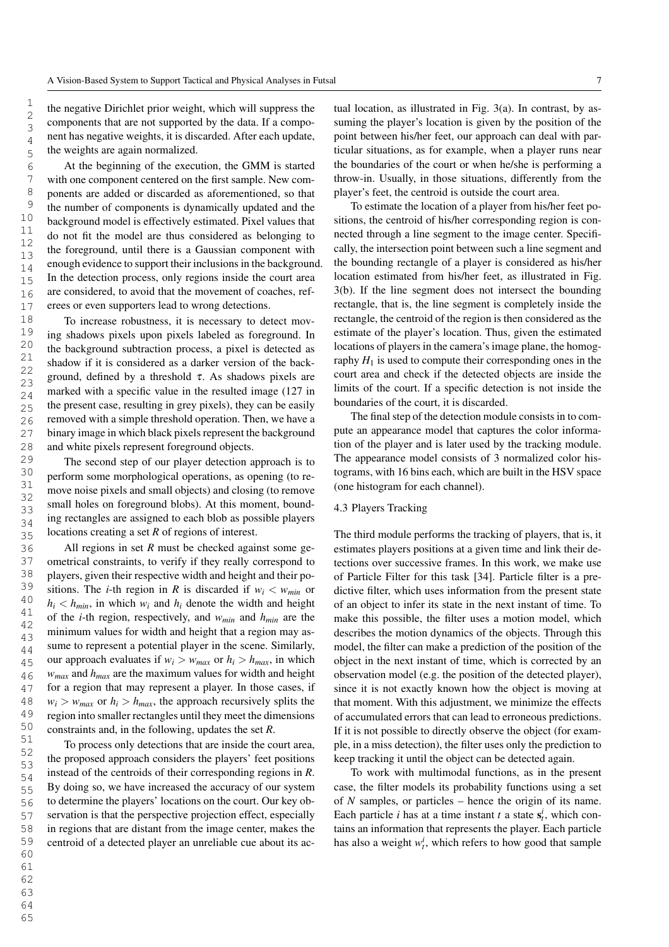the negative Dirichlet prior weight, which will suppress the components that are not supported by the data. If a component has negative weights, it is discarded. After each update, the weights are again normalized.

At the beginning of the execution, the GMM is started with one component centered on the first sample. New components are added or discarded as aforementioned, so that the number of components is dynamically updated and the background model is effectively estimated. Pixel values that do not fit the model are thus considered as belonging to the foreground, until there is a Gaussian component with enough evidence to support their inclusions in the background. In the detection process, only regions inside the court area are considered, to avoid that the movement of coaches, referees or even supporters lead to wrong detections.

To increase robustness, it is necessary to detect moving shadows pixels upon pixels labeled as foreground. In the background subtraction process, a pixel is detected as shadow if it is considered as a darker version of the background, defined by a threshold  $\tau$ . As shadows pixels are marked with a specific value in the resulted image (127 in the present case, resulting in grey pixels), they can be easily removed with a simple threshold operation. Then, we have a binary image in which black pixels represent the background and white pixels represent foreground objects.

The second step of our player detection approach is to perform some morphological operations, as opening (to remove noise pixels and small objects) and closing (to remove small holes on foreground blobs). At this moment, bounding rectangles are assigned to each blob as possible players locations creating a set *R* of regions of interest.

All regions in set *R* must be checked against some geometrical constraints, to verify if they really correspond to players, given their respective width and height and their positions. The *i*-th region in *R* is discarded if  $w_i < w_{min}$  or  $h_i < h_{min}$ , in which  $w_i$  and  $h_i$  denote the width and height of the *i*-th region, respectively, and *wmin* and *hmin* are the minimum values for width and height that a region may assume to represent a potential player in the scene. Similarly, our approach evaluates if  $w_i > w_{max}$  or  $h_i > h_{max}$ , in which *wmax* and *hmax* are the maximum values for width and height for a region that may represent a player. In those cases, if  $w_i > w_{max}$  or  $h_i > h_{max}$ , the approach recursively splits the region into smaller rectangles until they meet the dimensions constraints and, in the following, updates the set *R*.

To process only detections that are inside the court area, the proposed approach considers the players' feet positions instead of the centroids of their corresponding regions in *R*. By doing so, we have increased the accuracy of our system to determine the players' locations on the court. Our key observation is that the perspective projection effect, especially in regions that are distant from the image center, makes the centroid of a detected player an unreliable cue about its actual location, as illustrated in Fig. 3(a). In contrast, by assuming the player's location is given by the position of the point between his/her feet, our approach can deal with particular situations, as for example, when a player runs near the boundaries of the court or when he/she is performing a throw-in. Usually, in those situations, differently from the player's feet, the centroid is outside the court area.

To estimate the location of a player from his/her feet positions, the centroid of his/her corresponding region is connected through a line segment to the image center. Specifically, the intersection point between such a line segment and the bounding rectangle of a player is considered as his/her location estimated from his/her feet, as illustrated in Fig. 3(b). If the line segment does not intersect the bounding rectangle, that is, the line segment is completely inside the rectangle, the centroid of the region is then considered as the estimate of the player's location. Thus, given the estimated locations of players in the camera's image plane, the homography  $H_1$  is used to compute their corresponding ones in the court area and check if the detected objects are inside the limits of the court. If a specific detection is not inside the boundaries of the court, it is discarded.

The final step of the detection module consists in to compute an appearance model that captures the color information of the player and is later used by the tracking module. The appearance model consists of 3 normalized color histograms, with 16 bins each, which are built in the HSV space (one histogram for each channel).

# 4.3 Players Tracking

The third module performs the tracking of players, that is, it estimates players positions at a given time and link their detections over successive frames. In this work, we make use of Particle Filter for this task [34]. Particle filter is a predictive filter, which uses information from the present state of an object to infer its state in the next instant of time. To make this possible, the filter uses a motion model, which describes the motion dynamics of the objects. Through this model, the filter can make a prediction of the position of the object in the next instant of time, which is corrected by an observation model (e.g. the position of the detected player), since it is not exactly known how the object is moving at that moment. With this adjustment, we minimize the effects of accumulated errors that can lead to erroneous predictions. If it is not possible to directly observe the object (for example, in a miss detection), the filter uses only the prediction to keep tracking it until the object can be detected again.

To work with multimodal functions, as in the present case, the filter models its probability functions using a set of *N* samples, or particles – hence the origin of its name. Each particle *i* has at a time instant *t* a state  $s_t^i$ , which contains an information that represents the player. Each particle has also a weight  $w_t^i$ , which refers to how good that sample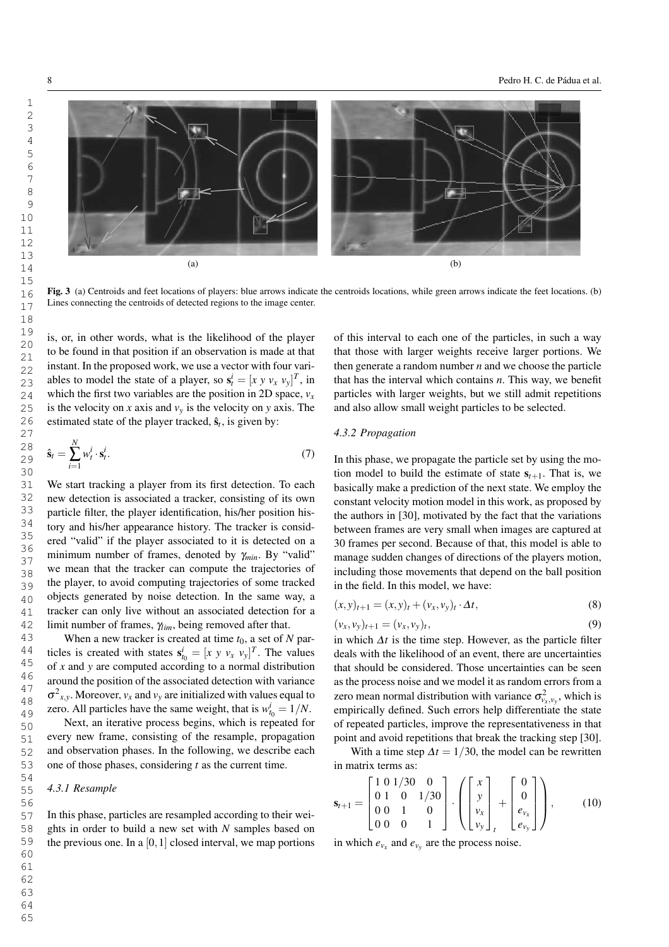

Fig. 3 (a) Centroids and feet locations of players: blue arrows indicate the centroids locations, while green arrows indicate the feet locations. (b) Lines connecting the centroids of detected regions to the image center.

is, or, in other words, what is the likelihood of the player to be found in that position if an observation is made at that instant. In the proposed work, we use a vector with four variables to model the state of a player, so  $\mathbf{s}_t^i = [x \ y \ v_x \ v_y]^T$ , in which the first two variables are the position in 2D space,  $v<sub>x</sub>$ is the velocity on *x* axis and  $v_y$  is the velocity on *y* axis. The estimated state of the player tracked,  $\hat{\mathbf{s}}_t$ , is given by:

$$
\hat{\mathbf{s}}_t = \sum_{i=1}^N w_t^i \cdot \mathbf{s}_t^i. \tag{7}
$$

We start tracking a player from its first detection. To each new detection is associated a tracker, consisting of its own particle filter, the player identification, his/her position history and his/her appearance history. The tracker is considered "valid" if the player associated to it is detected on a minimum number of frames, denoted by <sup>γ</sup>*min*. By "valid" we mean that the tracker can compute the trajectories of the player, to avoid computing trajectories of some tracked objects generated by noise detection. In the same way, a tracker can only live without an associated detection for a limit number of frames, <sup>γ</sup>*lim*, being removed after that.

When a new tracker is created at time  $t_0$ , a set of *N* particles is created with states  $\mathbf{s}_{t_0}^i = [x \ y \ v_x \ v_y]^T$ . The values of *x* and *y* are computed according to a normal distribution around the position of the associated detection with variance  $\sigma_{x,y}^2$ . Moreover,  $v_x$  and  $v_y$  are initialized with values equal to zero. All particles have the same weight, that is  $w_{t_0}^i = 1/N$ .

Next, an iterative process begins, which is repeated for every new frame, consisting of the resample, propagation and observation phases. In the following, we describe each one of those phases, considering *t* as the current time.

#### *4.3.1 Resample*

In this phase, particles are resampled according to their weights in order to build a new set with *N* samples based on the previous one. In a  $[0,1]$  closed interval, we map portions

of this interval to each one of the particles, in such a way that those with larger weights receive larger portions. We then generate a random number *n* and we choose the particle that has the interval which contains *n*. This way, we benefit particles with larger weights, but we still admit repetitions and also allow small weight particles to be selected.

# *4.3.2 Propagation*

In this phase, we propagate the particle set by using the motion model to build the estimate of state  $s_{t+1}$ . That is, we basically make a prediction of the next state. We employ the constant velocity motion model in this work, as proposed by the authors in [30], motivated by the fact that the variations between frames are very small when images are captured at 30 frames per second. Because of that, this model is able to manage sudden changes of directions of the players motion, including those movements that depend on the ball position in the field. In this model, we have:

$$
(x, y)_{t+1} = (x, y)_t + (v_x, v_y)_t \cdot \Delta t,
$$
\n(8)

$$
(\nu_x, \nu_y)_{t+1} = (\nu_x, \nu_y)_t,\tag{9}
$$

in which  $\Delta t$  is the time step. However, as the particle filter deals with the likelihood of an event, there are uncertainties that should be considered. Those uncertainties can be seen as the process noise and we model it as random errors from a zero mean normal distribution with variance  $\sigma_{v_x,v_y}^2$ , which is empirically defined. Such errors help differentiate the state of repeated particles, improve the representativeness in that point and avoid repetitions that break the tracking step [30].

With a time step  $\Delta t = 1/30$ , the model can be rewritten in matrix terms as:

$$
\mathbf{s}_{t+1} = \begin{bmatrix} 1 & 0 & 1/30 & 0 \\ 0 & 1 & 0 & 1/30 \\ 0 & 0 & 1 & 0 \\ 0 & 0 & 0 & 1 \end{bmatrix} \cdot \left( \begin{bmatrix} x \\ y \\ v_x \\ v_y \end{bmatrix}_t + \begin{bmatrix} 0 \\ 0 \\ e_{v_x} \\ e_{v_y} \end{bmatrix} \right), \quad (10)
$$

in which  $e_{v_x}$  and  $e_{v_y}$  are the process noise.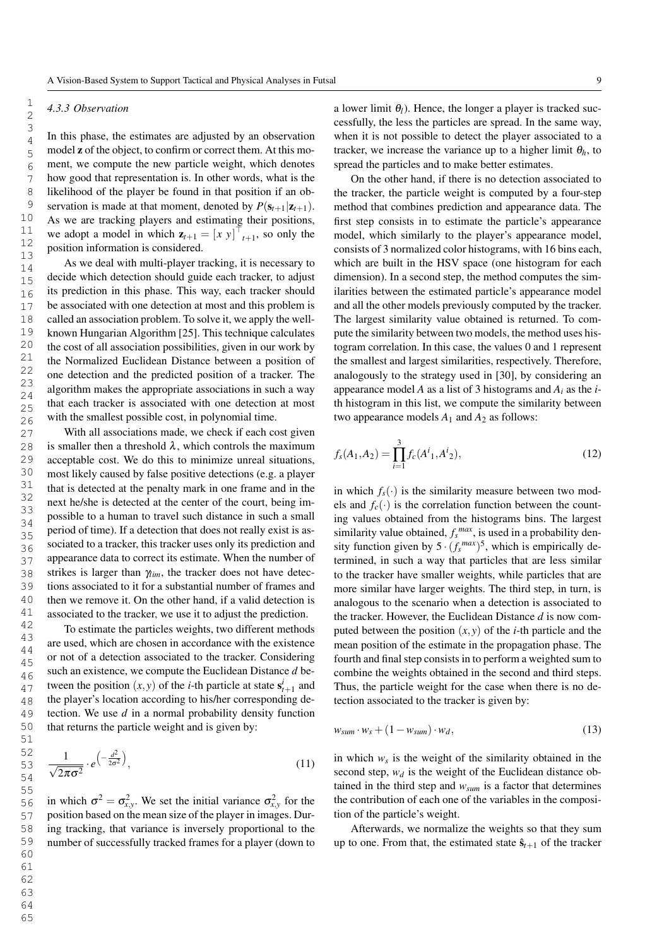## *4.3.3 Observation*

In this phase, the estimates are adjusted by an observation model z of the object, to confirm or correct them. At this moment, we compute the new particle weight, which denotes how good that representation is. In other words, what is the likelihood of the player be found in that position if an observation is made at that moment, denoted by  $P(\mathbf{s}_{t+1}|\mathbf{z}_{t+1})$ . As we are tracking players and estimating their positions, we adopt a model in which  $\mathbf{z}_{t+1} = [x \ y]^\top_{t+1}$ , so only the position information is considered.

As we deal with multi-player tracking, it is necessary to decide which detection should guide each tracker, to adjust its prediction in this phase. This way, each tracker should be associated with one detection at most and this problem is called an association problem. To solve it, we apply the wellknown Hungarian Algorithm [25]. This technique calculates the cost of all association possibilities, given in our work by the Normalized Euclidean Distance between a position of one detection and the predicted position of a tracker. The algorithm makes the appropriate associations in such a way that each tracker is associated with one detection at most with the smallest possible cost, in polynomial time.

With all associations made, we check if each cost given is smaller then a threshold  $\lambda$ , which controls the maximum acceptable cost. We do this to minimize unreal situations, most likely caused by false positive detections (e.g. a player that is detected at the penalty mark in one frame and in the next he/she is detected at the center of the court, being impossible to a human to travel such distance in such a small period of time). If a detection that does not really exist is associated to a tracker, this tracker uses only its prediction and appearance data to correct its estimate. When the number of strikes is larger than  $\gamma_{lim}$ , the tracker does not have detections associated to it for a substantial number of frames and then we remove it. On the other hand, if a valid detection is associated to the tracker, we use it to adjust the prediction.

To estimate the particles weights, two different methods are used, which are chosen in accordance with the existence or not of a detection associated to the tracker. Considering such an existence, we compute the Euclidean Distance *d* between the position  $(x, y)$  of the *i*-th particle at state  $s_{t+1}^i$  and the player's location according to his/her corresponding detection. We use *d* in a normal probability density function that returns the particle weight and is given by:

$$
\frac{1}{\sqrt{2\pi\sigma^2}} \cdot e^{\left(-\frac{d^2}{2\sigma^2}\right)},\tag{11}
$$

in which  $\sigma^2 = \sigma_{x,y}^2$ . We set the initial variance  $\sigma_{x,y}^2$  for the position based on the mean size of the player in images. During tracking, that variance is inversely proportional to the number of successfully tracked frames for a player (down to a lower limit  $\theta_l$ ). Hence, the longer a player is tracked successfully, the less the particles are spread. In the same way, when it is not possible to detect the player associated to a tracker, we increase the variance up to a higher limit  $\theta_h$ , to spread the particles and to make better estimates.

On the other hand, if there is no detection associated to the tracker, the particle weight is computed by a four-step method that combines prediction and appearance data. The first step consists in to estimate the particle's appearance model, which similarly to the player's appearance model, consists of 3 normalized color histograms, with 16 bins each, which are built in the HSV space (one histogram for each dimension). In a second step, the method computes the similarities between the estimated particle's appearance model and all the other models previously computed by the tracker. The largest similarity value obtained is returned. To compute the similarity between two models, the method uses histogram correlation. In this case, the values 0 and 1 represent the smallest and largest similarities, respectively. Therefore, analogously to the strategy used in [30], by considering an appearance model *A* as a list of 3 histograms and *A<sup>i</sup>* as the *i*th histogram in this list, we compute the similarity between two appearance models  $A_1$  and  $A_2$  as follows:

$$
f_s(A_1, A_2) = \prod_{i=1}^3 f_c(A^i_1, A^i_2),
$$
\n(12)

in which  $f_s(\cdot)$  is the similarity measure between two models and  $f_c(\cdot)$  is the correlation function between the counting values obtained from the histograms bins. The largest similarity value obtained,  $f_s^{max}$ , is used in a probability density function given by  $5 \cdot (f_s^{max})^5$ , which is empirically determined, in such a way that particles that are less similar to the tracker have smaller weights, while particles that are more similar have larger weights. The third step, in turn, is analogous to the scenario when a detection is associated to the tracker. However, the Euclidean Distance *d* is now computed between the position  $(x, y)$  of the *i*-th particle and the mean position of the estimate in the propagation phase. The fourth and final step consists in to perform a weighted sum to combine the weights obtained in the second and third steps. Thus, the particle weight for the case when there is no detection associated to the tracker is given by:

$$
w_{sum} \cdot w_s + (1 - w_{sum}) \cdot w_d, \tag{13}
$$

in which  $w_s$  is the weight of the similarity obtained in the second step,  $w_d$  is the weight of the Euclidean distance obtained in the third step and *wsum* is a factor that determines the contribution of each one of the variables in the composition of the particle's weight.

Afterwards, we normalize the weights so that they sum up to one. From that, the estimated state  $\hat{\mathbf{s}}_{t+1}$  of the tracker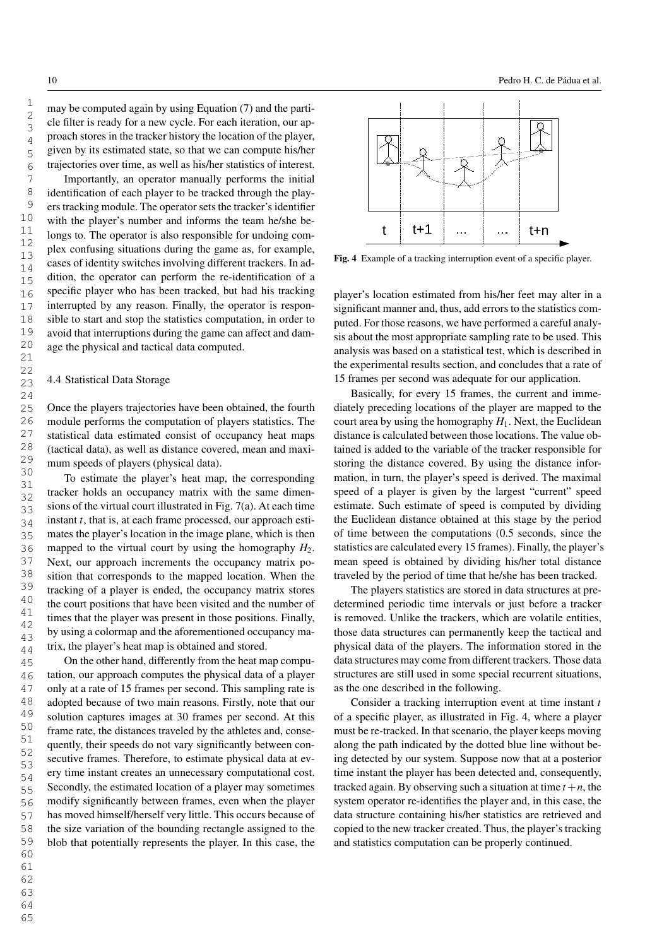may be computed again by using Equation (7) and the particle filter is ready for a new cycle. For each iteration, our approach stores in the tracker history the location of the player, given by its estimated state, so that we can compute his/her trajectories over time, as well as his/her statistics of interest.

Importantly, an operator manually performs the initial identification of each player to be tracked through the players tracking module. The operator sets the tracker's identifier with the player's number and informs the team he/she belongs to. The operator is also responsible for undoing complex confusing situations during the game as, for example, cases of identity switches involving different trackers. In addition, the operator can perform the re-identification of a specific player who has been tracked, but had his tracking interrupted by any reason. Finally, the operator is responsible to start and stop the statistics computation, in order to avoid that interruptions during the game can affect and damage the physical and tactical data computed.

# 4.4 Statistical Data Storage

Once the players trajectories have been obtained, the fourth module performs the computation of players statistics. The statistical data estimated consist of occupancy heat maps (tactical data), as well as distance covered, mean and maximum speeds of players (physical data).

To estimate the player's heat map, the corresponding tracker holds an occupancy matrix with the same dimensions of the virtual court illustrated in Fig. 7(a). At each time instant *t*, that is, at each frame processed, our approach estimates the player's location in the image plane, which is then mapped to the virtual court by using the homography  $H_2$ . Next, our approach increments the occupancy matrix position that corresponds to the mapped location. When the tracking of a player is ended, the occupancy matrix stores the court positions that have been visited and the number of times that the player was present in those positions. Finally, by using a colormap and the aforementioned occupancy matrix, the player's heat map is obtained and stored.

On the other hand, differently from the heat map computation, our approach computes the physical data of a player only at a rate of 15 frames per second. This sampling rate is adopted because of two main reasons. Firstly, note that our solution captures images at 30 frames per second. At this frame rate, the distances traveled by the athletes and, consequently, their speeds do not vary significantly between consecutive frames. Therefore, to estimate physical data at every time instant creates an unnecessary computational cost. Secondly, the estimated location of a player may sometimes modify significantly between frames, even when the player has moved himself/herself very little. This occurs because of the size variation of the bounding rectangle assigned to the blob that potentially represents the player. In this case, the



Fig. 4 Example of a tracking interruption event of a specific player.

player's location estimated from his/her feet may alter in a significant manner and, thus, add errors to the statistics computed. For those reasons, we have performed a careful analysis about the most appropriate sampling rate to be used. This analysis was based on a statistical test, which is described in the experimental results section, and concludes that a rate of 15 frames per second was adequate for our application.

Basically, for every 15 frames, the current and immediately preceding locations of the player are mapped to the court area by using the homography  $H_1$ . Next, the Euclidean distance is calculated between those locations. The value obtained is added to the variable of the tracker responsible for storing the distance covered. By using the distance information, in turn, the player's speed is derived. The maximal speed of a player is given by the largest "current" speed estimate. Such estimate of speed is computed by dividing the Euclidean distance obtained at this stage by the period of time between the computations (0.5 seconds, since the statistics are calculated every 15 frames). Finally, the player's mean speed is obtained by dividing his/her total distance traveled by the period of time that he/she has been tracked.

The players statistics are stored in data structures at predetermined periodic time intervals or just before a tracker is removed. Unlike the trackers, which are volatile entities, those data structures can permanently keep the tactical and physical data of the players. The information stored in the data structures may come from different trackers. Those data structures are still used in some special recurrent situations, as the one described in the following.

Consider a tracking interruption event at time instant *t* of a specific player, as illustrated in Fig. 4, where a player must be re-tracked. In that scenario, the player keeps moving along the path indicated by the dotted blue line without being detected by our system. Suppose now that at a posterior time instant the player has been detected and, consequently, tracked again. By observing such a situation at time  $t + n$ , the system operator re-identifies the player and, in this case, the data structure containing his/her statistics are retrieved and copied to the new tracker created. Thus, the player's tracking and statistics computation can be properly continued.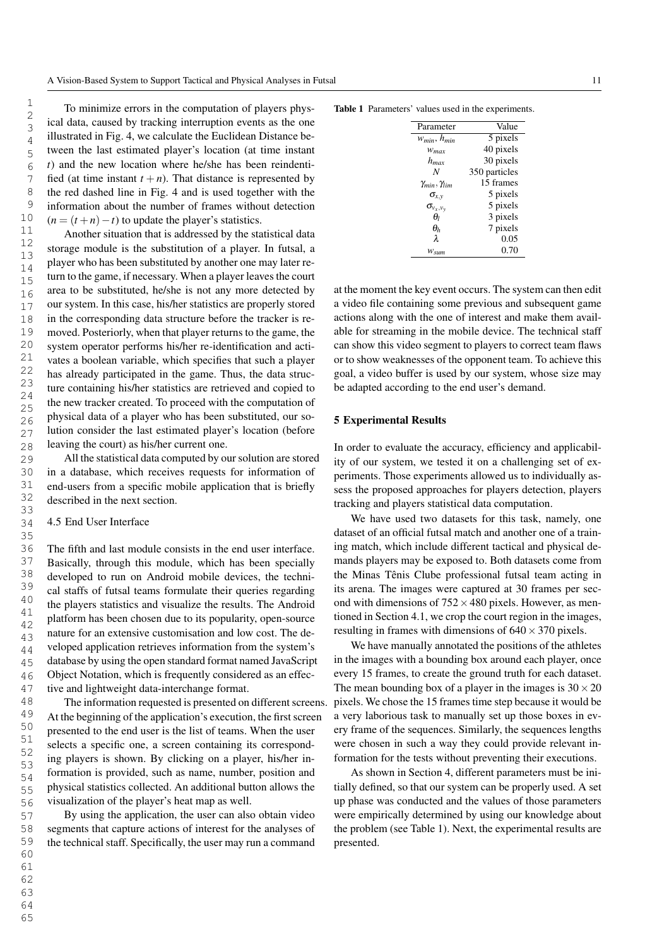To minimize errors in the computation of players physical data, caused by tracking interruption events as the one illustrated in Fig. 4, we calculate the Euclidean Distance between the last estimated player's location (at time instant *t*) and the new location where he/she has been reindentified (at time instant  $t + n$ ). That distance is represented by the red dashed line in Fig. 4 and is used together with the information about the number of frames without detection  $(n = (t + n) - t)$  to update the player's statistics.

Another situation that is addressed by the statistical data storage module is the substitution of a player. In futsal, a player who has been substituted by another one may later return to the game, if necessary. When a player leaves the court area to be substituted, he/she is not any more detected by our system. In this case, his/her statistics are properly stored in the corresponding data structure before the tracker is removed. Posteriorly, when that player returns to the game, the system operator performs his/her re-identification and activates a boolean variable, which specifies that such a player has already participated in the game. Thus, the data structure containing his/her statistics are retrieved and copied to the new tracker created. To proceed with the computation of physical data of a player who has been substituted, our solution consider the last estimated player's location (before leaving the court) as his/her current one.

All the statistical data computed by our solution are stored in a database, which receives requests for information of end-users from a specific mobile application that is briefly described in the next section.

# 4.5 End User Interface

The fifth and last module consists in the end user interface. Basically, through this module, which has been specially developed to run on Android mobile devices, the technical staffs of futsal teams formulate their queries regarding the players statistics and visualize the results. The Android platform has been chosen due to its popularity, open-source nature for an extensive customisation and low cost. The developed application retrieves information from the system's database by using the open standard format named JavaScript Object Notation, which is frequently considered as an effective and lightweight data-interchange format.

The information requested is presented on different screens. At the beginning of the application's execution, the first screen presented to the end user is the list of teams. When the user selects a specific one, a screen containing its corresponding players is shown. By clicking on a player, his/her information is provided, such as name, number, position and physical statistics collected. An additional button allows the visualization of the player's heat map as well.

By using the application, the user can also obtain video segments that capture actions of interest for the analyses of the technical staff. Specifically, the user may run a command

Table 1 Parameters' values used in the experiments.

| Parameter                    | Value         |
|------------------------------|---------------|
| $W_{min}$ , $h_{min}$        | 5 pixels      |
| $W_{max}$                    | 40 pixels     |
| $h_{max}$                    | 30 pixels     |
| N                            | 350 particles |
| $\gamma_{min}, \gamma_{lim}$ | 15 frames     |
| $\sigma_{\!x,v}$             | 5 pixels      |
| $\sigma_{v_x,v_y}$           | 5 pixels      |
| $\theta$                     | 3 pixels      |
| $\theta_h$                   | 7 pixels      |
| $\lambda$                    | 0.05          |
| $W_{sum}$                    | 0.70          |
|                              |               |

at the moment the key event occurs. The system can then edit a video file containing some previous and subsequent game actions along with the one of interest and make them available for streaming in the mobile device. The technical staff can show this video segment to players to correct team flaws or to show weaknesses of the opponent team. To achieve this goal, a video buffer is used by our system, whose size may be adapted according to the end user's demand.

## 5 Experimental Results

In order to evaluate the accuracy, efficiency and applicability of our system, we tested it on a challenging set of experiments. Those experiments allowed us to individually assess the proposed approaches for players detection, players tracking and players statistical data computation.

We have used two datasets for this task, namely, one dataset of an official futsal match and another one of a training match, which include different tactical and physical demands players may be exposed to. Both datasets come from the Minas Tênis Clube professional futsal team acting in its arena. The images were captured at 30 frames per second with dimensions of  $752 \times 480$  pixels. However, as mentioned in Section 4.1, we crop the court region in the images, resulting in frames with dimensions of  $640 \times 370$  pixels.

We have manually annotated the positions of the athletes in the images with a bounding box around each player, once every 15 frames, to create the ground truth for each dataset. The mean bounding box of a player in the images is  $30 \times 20$ pixels. We chose the 15 frames time step because it would be a very laborious task to manually set up those boxes in every frame of the sequences. Similarly, the sequences lengths were chosen in such a way they could provide relevant information for the tests without preventing their executions.

As shown in Section 4, different parameters must be initially defined, so that our system can be properly used. A set up phase was conducted and the values of those parameters were empirically determined by using our knowledge about the problem (see Table 1). Next, the experimental results are presented.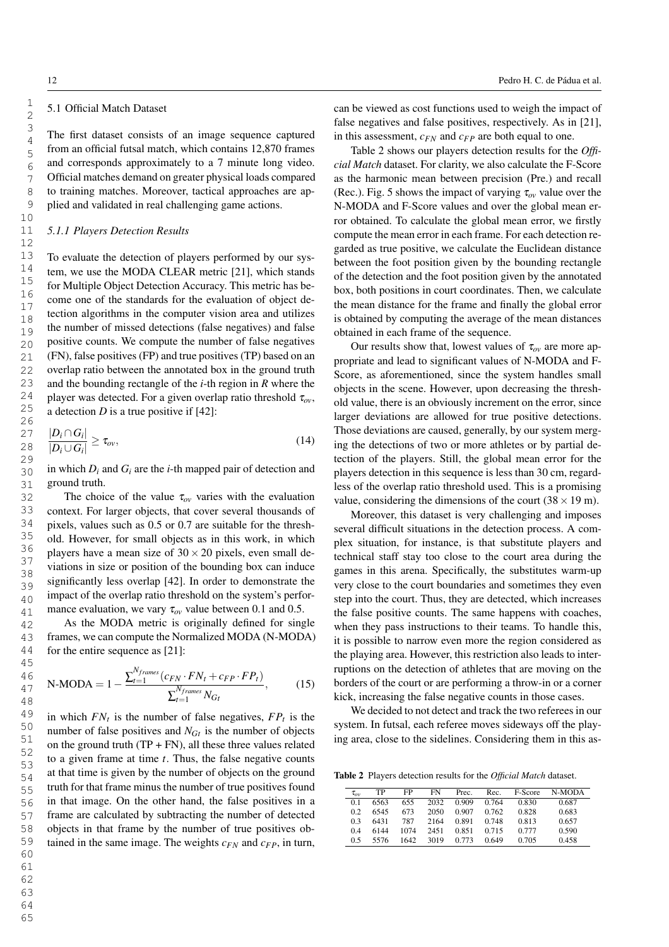1

# 5.1 Official Match Dataset

The first dataset consists of an image sequence captured from an official futsal match, which contains 12,870 frames and corresponds approximately to a 7 minute long video. Official matches demand on greater physical loads compared to training matches. Moreover, tactical approaches are applied and validated in real challenging game actions.

## *5.1.1 Players Detection Results*

To evaluate the detection of players performed by our system, we use the MODA CLEAR metric [21], which stands for Multiple Object Detection Accuracy. This metric has become one of the standards for the evaluation of object detection algorithms in the computer vision area and utilizes the number of missed detections (false negatives) and false positive counts. We compute the number of false negatives (FN), false positives (FP) and true positives (TP) based on an overlap ratio between the annotated box in the ground truth and the bounding rectangle of the *i*-th region in *R* where the player was detected. For a given overlap ratio threshold  $\tau_{ov}$ , a detection *D* is a true positive if [42]:

$$
\frac{|D_i \cap G_i|}{|D_i \cup G_i|} \ge \tau_{ov},\tag{14}
$$

in which  $D_i$  and  $G_i$  are the *i*-th mapped pair of detection and ground truth.

The choice of the value  $\tau_{ov}$  varies with the evaluation context. For larger objects, that cover several thousands of pixels, values such as 0.5 or 0.7 are suitable for the threshold. However, for small objects as in this work, in which players have a mean size of  $30 \times 20$  pixels, even small deviations in size or position of the bounding box can induce significantly less overlap [42]. In order to demonstrate the impact of the overlap ratio threshold on the system's performance evaluation, we vary  $\tau_{ov}$  value between 0.1 and 0.5.

As the MODA metric is originally defined for single frames, we can compute the Normalized MODA (N-MODA) for the entire sequence as [21]:

N-MODA = 
$$
1 - \frac{\sum_{t=1}^{N_{frames}} (c_{FN} \cdot FN_t + c_{FP} \cdot FP_t)}{\sum_{t=1}^{N_{frames}} N_{G_t}},
$$
 (15)

in which  $FN_t$  is the number of false negatives,  $FP_t$  is the number of false positives and  $N_{G_t}$  is the number of objects on the ground truth  $(TP + FN)$ , all these three values related to a given frame at time *t*. Thus, the false negative counts at that time is given by the number of objects on the ground truth for that frame minus the number of true positives found in that image. On the other hand, the false positives in a frame are calculated by subtracting the number of detected objects in that frame by the number of true positives obtained in the same image. The weights  $c_{FN}$  and  $c_{FP}$ , in turn, can be viewed as cost functions used to weigh the impact of false negatives and false positives, respectively. As in [21], in this assessment, *cFN* and *cFP* are both equal to one.

Table 2 shows our players detection results for the *Official Match* dataset. For clarity, we also calculate the F-Score as the harmonic mean between precision (Pre.) and recall (Rec.). Fig. 5 shows the impact of varying  $\tau_{ov}$  value over the N-MODA and F-Score values and over the global mean error obtained. To calculate the global mean error, we firstly compute the mean error in each frame. For each detection regarded as true positive, we calculate the Euclidean distance between the foot position given by the bounding rectangle of the detection and the foot position given by the annotated box, both positions in court coordinates. Then, we calculate the mean distance for the frame and finally the global error is obtained by computing the average of the mean distances obtained in each frame of the sequence.

Our results show that, lowest values of  $\tau_{ov}$  are more appropriate and lead to significant values of N-MODA and F-Score, as aforementioned, since the system handles small objects in the scene. However, upon decreasing the threshold value, there is an obviously increment on the error, since larger deviations are allowed for true positive detections. Those deviations are caused, generally, by our system merging the detections of two or more athletes or by partial detection of the players. Still, the global mean error for the players detection in this sequence is less than 30 cm, regardless of the overlap ratio threshold used. This is a promising value, considering the dimensions of the court  $(38 \times 19 \text{ m})$ .

Moreover, this dataset is very challenging and imposes several difficult situations in the detection process. A complex situation, for instance, is that substitute players and technical staff stay too close to the court area during the games in this arena. Specifically, the substitutes warm-up very close to the court boundaries and sometimes they even step into the court. Thus, they are detected, which increases the false positive counts. The same happens with coaches, when they pass instructions to their teams. To handle this, it is possible to narrow even more the region considered as the playing area. However, this restriction also leads to interruptions on the detection of athletes that are moving on the borders of the court or are performing a throw-in or a corner kick, increasing the false negative counts in those cases.

We decided to not detect and track the two referees in our system. In futsal, each referee moves sideways off the playing area, close to the sidelines. Considering them in this as-

Table 2 Players detection results for the *Official Match* dataset.

| $\tau_{ov}$    | TP   | FP   | FN   | Prec. | Rec.  | F-Score | N-MODA |
|----------------|------|------|------|-------|-------|---------|--------|
| 0 <sub>1</sub> | 6563 | 655  | 2032 | 0.909 | 0.764 | 0.830   | 0.687  |
| 02             | 6545 | 673  | 2050 | 0.907 | 0.762 | 0.828   | 0.683  |
| 03             | 6431 | 787  | 2164 | 0.891 | 0.748 | 0.813   | 0.657  |
| 04             | 6144 | 1074 | 2451 | 0.851 | 0.715 | 0.777   | 0.590  |
| 0.5            | 5576 | 1642 | 3019 | 0.773 | 0.649 | 0.705   | 0.458  |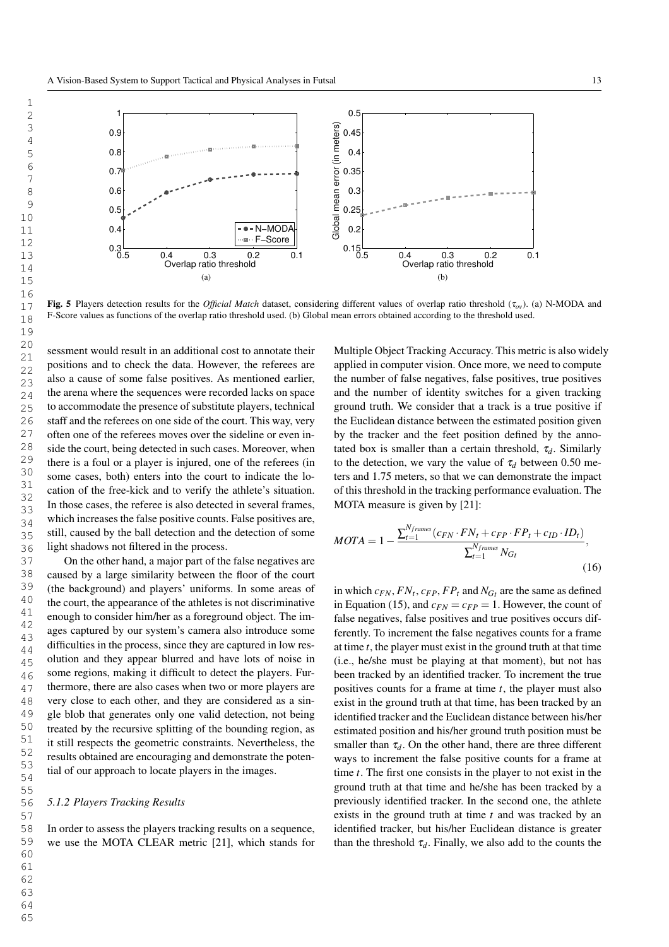

Fig. 5 Players detection results for the *Official Match* dataset, considering different values of overlap ratio threshold (<sup>τ</sup>*ov*). (a) N-MODA and F-Score values as functions of the overlap ratio threshold used. (b) Global mean errors obtained according to the threshold used.

sessment would result in an additional cost to annotate their positions and to check the data. However, the referees are also a cause of some false positives. As mentioned earlier, the arena where the sequences were recorded lacks on space to accommodate the presence of substitute players, technical staff and the referees on one side of the court. This way, very often one of the referees moves over the sideline or even inside the court, being detected in such cases. Moreover, when there is a foul or a player is injured, one of the referees (in some cases, both) enters into the court to indicate the location of the free-kick and to verify the athlete's situation. In those cases, the referee is also detected in several frames, which increases the false positive counts. False positives are, still, caused by the ball detection and the detection of some light shadows not filtered in the process.

On the other hand, a major part of the false negatives are caused by a large similarity between the floor of the court (the background) and players' uniforms. In some areas of the court, the appearance of the athletes is not discriminative enough to consider him/her as a foreground object. The images captured by our system's camera also introduce some difficulties in the process, since they are captured in low resolution and they appear blurred and have lots of noise in some regions, making it difficult to detect the players. Furthermore, there are also cases when two or more players are very close to each other, and they are considered as a single blob that generates only one valid detection, not being treated by the recursive splitting of the bounding region, as it still respects the geometric constraints. Nevertheless, the results obtained are encouraging and demonstrate the potential of our approach to locate players in the images.

#### *5.1.2 Players Tracking Results*

In order to assess the players tracking results on a sequence, we use the MOTA CLEAR metric [21], which stands for

Multiple Object Tracking Accuracy. This metric is also widely applied in computer vision. Once more, we need to compute the number of false negatives, false positives, true positives and the number of identity switches for a given tracking ground truth. We consider that a track is a true positive if the Euclidean distance between the estimated position given by the tracker and the feet position defined by the annotated box is smaller than a certain threshold,  $\tau_d$ . Similarly to the detection, we vary the value of  $\tau_d$  between 0.50 meters and 1.75 meters, so that we can demonstrate the impact of this threshold in the tracking performance evaluation. The MOTA measure is given by [21]:

$$
MOTA = 1 - \frac{\sum_{t=1}^{N_{frames}} (c_{FN} \cdot FN_t + c_{FP} \cdot FP_t + c_{ID} \cdot ID_t)}{\sum_{t=1}^{N_{frames}} N_{Gi}},
$$
\n(16)

in which  $c_{FN}$ ,  $FN_t$ ,  $c_{FP}$ ,  $FP_t$  and  $N_{G_t}$  are the same as defined in Equation (15), and  $c_{FN} = c_{FP} = 1$ . However, the count of false negatives, false positives and true positives occurs differently. To increment the false negatives counts for a frame at time *t*, the player must exist in the ground truth at that time (i.e., he/she must be playing at that moment), but not has been tracked by an identified tracker. To increment the true positives counts for a frame at time *t*, the player must also exist in the ground truth at that time, has been tracked by an identified tracker and the Euclidean distance between his/her estimated position and his/her ground truth position must be smaller than  $\tau_d$ . On the other hand, there are three different ways to increment the false positive counts for a frame at time *t*. The first one consists in the player to not exist in the ground truth at that time and he/she has been tracked by a previously identified tracker. In the second one, the athlete exists in the ground truth at time *t* and was tracked by an identified tracker, but his/her Euclidean distance is greater than the threshold  $\tau_d$ . Finally, we also add to the counts the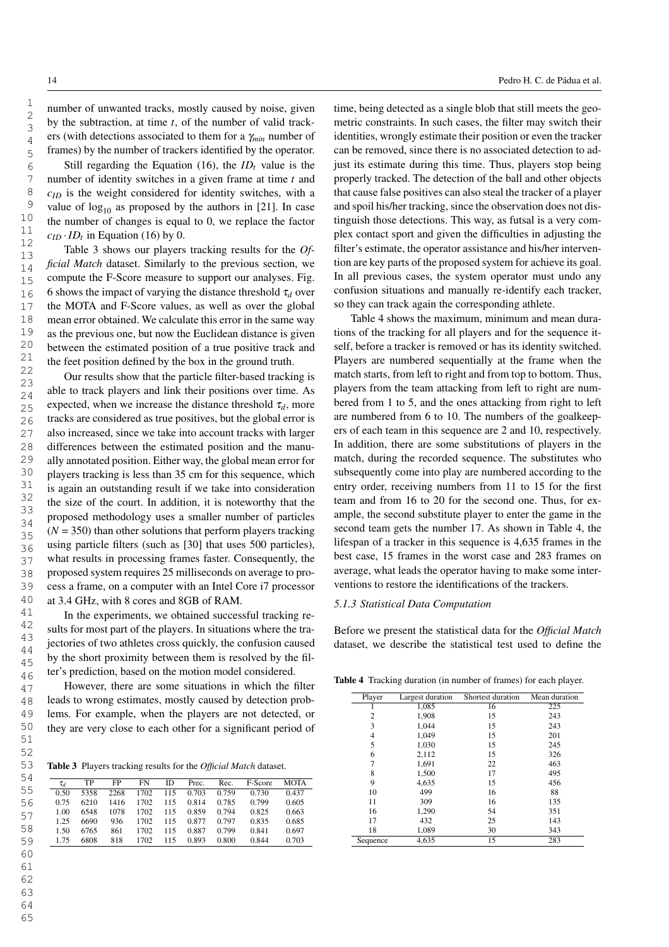number of unwanted tracks, mostly caused by noise, given by the subtraction, at time *t*, of the number of valid trackers (with detections associated to them for a <sup>γ</sup>*min* number of frames) by the number of trackers identified by the operator.

Still regarding the Equation (16), the  $ID<sub>t</sub>$  value is the number of identity switches in a given frame at time *t* and *cID* is the weight considered for identity switches, with a value of  $log_{10}$  as proposed by the authors in [21]. In case the number of changes is equal to 0, we replace the factor  $c_{ID} \cdot ID_t$  in Equation (16) by 0.

Table 3 shows our players tracking results for the *Official Match* dataset. Similarly to the previous section, we compute the F-Score measure to support our analyses. Fig. 6 shows the impact of varying the distance threshold  $\tau_d$  over the MOTA and F-Score values, as well as over the global mean error obtained. We calculate this error in the same way as the previous one, but now the Euclidean distance is given between the estimated position of a true positive track and the feet position defined by the box in the ground truth.

Our results show that the particle filter-based tracking is able to track players and link their positions over time. As expected, when we increase the distance threshold  $\tau_d$ , more tracks are considered as true positives, but the global error is also increased, since we take into account tracks with larger differences between the estimated position and the manually annotated position. Either way, the global mean error for players tracking is less than 35 cm for this sequence, which is again an outstanding result if we take into consideration the size of the court. In addition, it is noteworthy that the proposed methodology uses a smaller number of particles  $(N = 350)$  than other solutions that perform players tracking using particle filters (such as [30] that uses 500 particles), what results in processing frames faster. Consequently, the proposed system requires 25 milliseconds on average to process a frame, on a computer with an Intel Core i7 processor at 3.4 GHz, with 8 cores and 8GB of RAM.

In the experiments, we obtained successful tracking results for most part of the players. In situations where the trajectories of two athletes cross quickly, the confusion caused by the short proximity between them is resolved by the filter's prediction, based on the motion model considered.

However, there are some situations in which the filter leads to wrong estimates, mostly caused by detection problems. For example, when the players are not detected, or they are very close to each other for a significant period of

Table 3 Players tracking results for the *Official Match* dataset.

| 54 |          |      |      |      |     |       |       |         |             |
|----|----------|------|------|------|-----|-------|-------|---------|-------------|
|    | $\tau_d$ | TP   | FP   | FN   | ID  | Prec. | Rec.  | F-Score | <b>MOTA</b> |
| 55 | 0.50     | 5358 | 2268 | 1702 | 115 | 0.703 | 0.759 | 0.730   | 0.437       |
| 56 | 0.75     | 6210 | 1416 | 1702 | 115 | 0.814 | 0.785 | 0.799   | 0.605       |
| 57 | 1.00     | 6548 | 1078 | 1702 | 115 | 0.859 | 0.794 | 0.825   | 0.663       |
|    | 1.25     | 6690 | 936  | 1702 | 115 | 0.877 | 0.797 | 0.835   | 0.685       |
| 58 | 1.50     | 6765 | 861  | 1702 | 115 | 0.887 | 0.799 | 0.841   | 0.697       |
| 59 | 1.75     | 6808 | 818  | 1702 | 115 | 0.893 | 0.800 | 0.844   | 0.703       |
|    |          |      |      |      |     |       |       |         |             |

time, being detected as a single blob that still meets the geometric constraints. In such cases, the filter may switch their identities, wrongly estimate their position or even the tracker can be removed, since there is no associated detection to adjust its estimate during this time. Thus, players stop being properly tracked. The detection of the ball and other objects that cause false positives can also steal the tracker of a player and spoil his/her tracking, since the observation does not distinguish those detections. This way, as futsal is a very complex contact sport and given the difficulties in adjusting the filter's estimate, the operator assistance and his/her intervention are key parts of the proposed system for achieve its goal. In all previous cases, the system operator must undo any confusion situations and manually re-identify each tracker, so they can track again the corresponding athlete.

Table 4 shows the maximum, minimum and mean durations of the tracking for all players and for the sequence itself, before a tracker is removed or has its identity switched. Players are numbered sequentially at the frame when the match starts, from left to right and from top to bottom. Thus, players from the team attacking from left to right are numbered from 1 to 5, and the ones attacking from right to left are numbered from 6 to 10. The numbers of the goalkeepers of each team in this sequence are 2 and 10, respectively. In addition, there are some substitutions of players in the match, during the recorded sequence. The substitutes who subsequently come into play are numbered according to the entry order, receiving numbers from 11 to 15 for the first team and from 16 to 20 for the second one. Thus, for example, the second substitute player to enter the game in the second team gets the number 17. As shown in Table 4, the lifespan of a tracker in this sequence is 4,635 frames in the best case, 15 frames in the worst case and 283 frames on average, what leads the operator having to make some interventions to restore the identifications of the trackers.

#### *5.1.3 Statistical Data Computation*

Before we present the statistical data for the *Official Match* dataset, we describe the statistical test used to define the

Table 4 Tracking duration (in number of frames) for each player.

| Player         | Largest duration | Shortest duration | Mean duration |
|----------------|------------------|-------------------|---------------|
|                | 1,085            | 16                | 225           |
| $\overline{c}$ | 1,908            | 15                | 243           |
| 3              | 1,044            | 15                | 243           |
| 4              | 1,049            | 15                | 201           |
| 5              | 1,030            | 15                | 245           |
| 6              | 2,112            | 15                | 326           |
| 7              | 1,691            | 22                | 463           |
| 8              | 1,500            | 17                | 495           |
| 9              | 4,635            | 15                | 456           |
| 10             | 499              | 16                | 88            |
| 11             | 309              | 16                | 135           |
| 16             | 1,290            | 54                | 351           |
| 17             | 432              | 25                | 143           |
| 18             | 1,089            | 30                | 343           |
| Sequence       | 4.635            | 15                | 283           |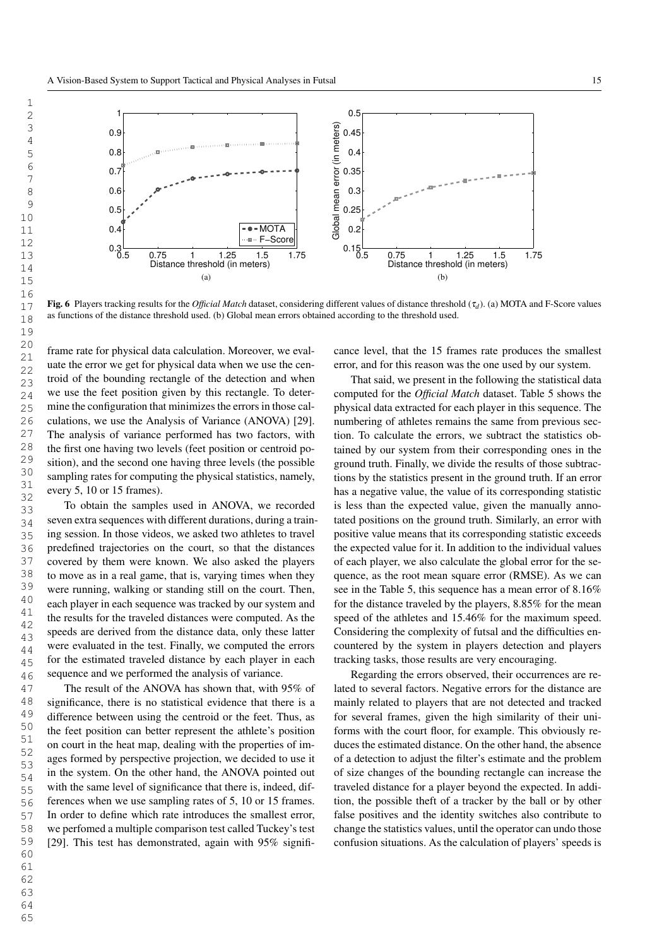

Fig. 6 Players tracking results for the *Official Match* dataset, considering different values of distance threshold (<sup>τ</sup>*<sup>d</sup>* ). (a) MOTA and F-Score values as functions of the distance threshold used. (b) Global mean errors obtained according to the threshold used.

frame rate for physical data calculation. Moreover, we evaluate the error we get for physical data when we use the centroid of the bounding rectangle of the detection and when we use the feet position given by this rectangle. To determine the configuration that minimizes the errors in those calculations, we use the Analysis of Variance (ANOVA) [29]. The analysis of variance performed has two factors, with the first one having two levels (feet position or centroid position), and the second one having three levels (the possible sampling rates for computing the physical statistics, namely, every 5, 10 or 15 frames).

To obtain the samples used in ANOVA, we recorded seven extra sequences with different durations, during a training session. In those videos, we asked two athletes to travel predefined trajectories on the court, so that the distances covered by them were known. We also asked the players to move as in a real game, that is, varying times when they were running, walking or standing still on the court. Then, each player in each sequence was tracked by our system and the results for the traveled distances were computed. As the speeds are derived from the distance data, only these latter were evaluated in the test. Finally, we computed the errors for the estimated traveled distance by each player in each sequence and we performed the analysis of variance.

The result of the ANOVA has shown that, with 95% of significance, there is no statistical evidence that there is a difference between using the centroid or the feet. Thus, as the feet position can better represent the athlete's position on court in the heat map, dealing with the properties of images formed by perspective projection, we decided to use it in the system. On the other hand, the ANOVA pointed out with the same level of significance that there is, indeed, differences when we use sampling rates of 5, 10 or 15 frames. In order to define which rate introduces the smallest error, we perfomed a multiple comparison test called Tuckey's test [29]. This test has demonstrated, again with 95% significance level, that the 15 frames rate produces the smallest error, and for this reason was the one used by our system.

That said, we present in the following the statistical data computed for the *Official Match* dataset. Table 5 shows the physical data extracted for each player in this sequence. The numbering of athletes remains the same from previous section. To calculate the errors, we subtract the statistics obtained by our system from their corresponding ones in the ground truth. Finally, we divide the results of those subtractions by the statistics present in the ground truth. If an error has a negative value, the value of its corresponding statistic is less than the expected value, given the manually annotated positions on the ground truth. Similarly, an error with positive value means that its corresponding statistic exceeds the expected value for it. In addition to the individual values of each player, we also calculate the global error for the sequence, as the root mean square error (RMSE). As we can see in the Table 5, this sequence has a mean error of 8.16% for the distance traveled by the players, 8.85% for the mean speed of the athletes and 15.46% for the maximum speed. Considering the complexity of futsal and the difficulties encountered by the system in players detection and players tracking tasks, those results are very encouraging.

Regarding the errors observed, their occurrences are related to several factors. Negative errors for the distance are mainly related to players that are not detected and tracked for several frames, given the high similarity of their uniforms with the court floor, for example. This obviously reduces the estimated distance. On the other hand, the absence of a detection to adjust the filter's estimate and the problem of size changes of the bounding rectangle can increase the traveled distance for a player beyond the expected. In addition, the possible theft of a tracker by the ball or by other false positives and the identity switches also contribute to change the statistics values, until the operator can undo those confusion situations. As the calculation of players' speeds is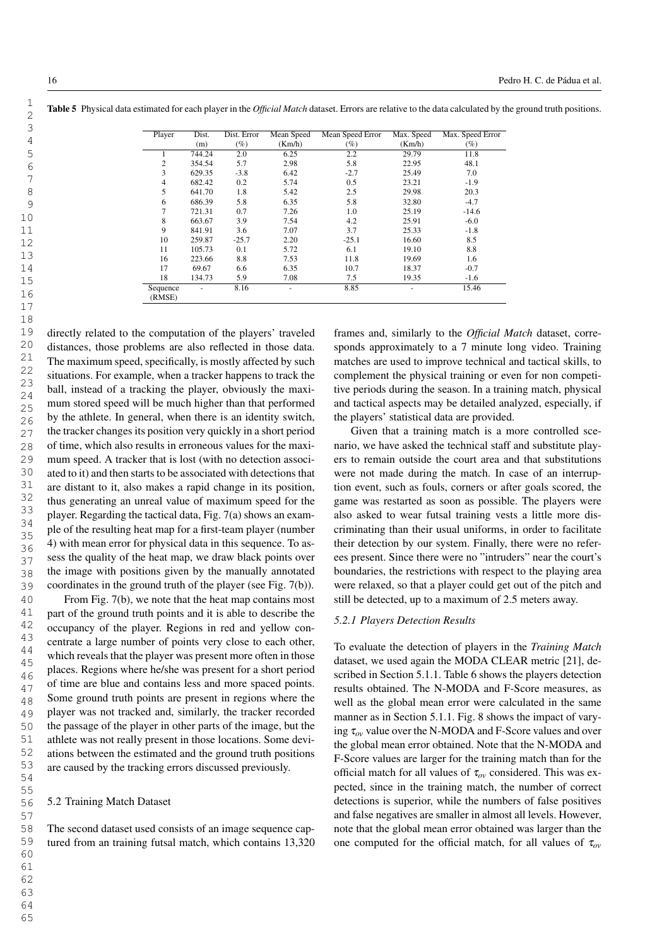| Player             | Dist.  | Dist. Error | Mean Speed | Mean Speed Error | Max. Speed | Max. Speed Error |
|--------------------|--------|-------------|------------|------------------|------------|------------------|
|                    | (m)    | (%)         | (Km/h)     | (%)              | (Km/h)     | (%)              |
|                    | 744.24 | 2.0         | 6.25       | 2.2              | 29.79      | 11.8             |
| $\overline{c}$     | 354.54 | 5.7         | 2.98       | 5.8              | 22.95      | 48.1             |
| 3                  | 629.35 | $-3.8$      | 6.42       | $-2.7$           | 25.49      | 7.0              |
| $\overline{4}$     | 682.42 | 0.2         | 5.74       | 0.5              | 23.21      | $-1.9$           |
| 5                  | 641.70 | 1.8         | 5.42       | 2.5              | 29.98      | 20.3             |
| 6                  | 686.39 | 5.8         | 6.35       | 5.8              | 32.80      | $-4.7$           |
| 7                  | 721.31 | 0.7         | 7.26       | 1.0              | 25.19      | $-14.6$          |
| 8                  | 663.67 | 3.9         | 7.54       | 4.2              | 25.91      | $-6.0$           |
| 9                  | 841.91 | 3.6         | 7.07       | 3.7              | 25.33      | $-1.8$           |
| 10                 | 259.87 | $-25.7$     | 2.20       | $-25.1$          | 16.60      | 8.5              |
| 11                 | 105.73 | 0.1         | 5.72       | 6.1              | 19.10      | 8.8              |
| 16                 | 223.66 | 8.8         | 7.53       | 11.8             | 19.69      | 1.6              |
| 17                 | 69.67  | 6.6         | 6.35       | 10.7             | 18.37      | $-0.7$           |
| 18                 | 134.73 | 5.9         | 7.08       | 7.5              | 19.35      | $-1.6$           |
| Sequence<br>(RMSE) |        | 8.16        |            | 8.85             |            | 15.46            |

Table 5 Physical data estimated for each player in the *Official Match* dataset. Errors are relative to the data calculated by the ground truth positions.

directly related to the computation of the players' traveled distances, those problems are also reflected in those data. The maximum speed, specifically, is mostly affected by such situations. For example, when a tracker happens to track the ball, instead of a tracking the player, obviously the maximum stored speed will be much higher than that performed by the athlete. In general, when there is an identity switch, the tracker changes its position very quickly in a short period of time, which also results in erroneous values for the maximum speed. A tracker that is lost (with no detection associated to it) and then starts to be associated with detections that are distant to it, also makes a rapid change in its position, thus generating an unreal value of maximum speed for the player. Regarding the tactical data, Fig. 7(a) shows an example of the resulting heat map for a first-team player (number 4) with mean error for physical data in this sequence. To assess the quality of the heat map, we draw black points over the image with positions given by the manually annotated coordinates in the ground truth of the player (see Fig. 7(b)). From Fig. 7(b), we note that the heat map contains most

part of the ground truth points and it is able to describe the occupancy of the player. Regions in red and yellow concentrate a large number of points very close to each other, which reveals that the player was present more often in those places. Regions where he/she was present for a short period of time are blue and contains less and more spaced points. Some ground truth points are present in regions where the player was not tracked and, similarly, the tracker recorded the passage of the player in other parts of the image, but the athlete was not really present in those locations. Some deviations between the estimated and the ground truth positions are caused by the tracking errors discussed previously.

#### 5.2 Training Match Dataset

The second dataset used consists of an image sequence captured from an training futsal match, which contains 13,320 frames and, similarly to the *Official Match* dataset, corresponds approximately to a 7 minute long video. Training matches are used to improve technical and tactical skills, to complement the physical training or even for non competitive periods during the season. In a training match, physical and tactical aspects may be detailed analyzed, especially, if the players' statistical data are provided.

Given that a training match is a more controlled scenario, we have asked the technical staff and substitute players to remain outside the court area and that substitutions were not made during the match. In case of an interruption event, such as fouls, corners or after goals scored, the game was restarted as soon as possible. The players were also asked to wear futsal training vests a little more discriminating than their usual uniforms, in order to facilitate their detection by our system. Finally, there were no referees present. Since there were no "intruders" near the court's boundaries, the restrictions with respect to the playing area were relaxed, so that a player could get out of the pitch and still be detected, up to a maximum of 2.5 meters away.

# *5.2.1 Players Detection Results*

To evaluate the detection of players in the *Training Match* dataset, we used again the MODA CLEAR metric [21], described in Section 5.1.1. Table 6 shows the players detection results obtained. The N-MODA and F-Score measures, as well as the global mean error were calculated in the same manner as in Section 5.1.1. Fig. 8 shows the impact of varying <sup>τ</sup>*ov* value over the N-MODA and F-Score values and over the global mean error obtained. Note that the N-MODA and F-Score values are larger for the training match than for the official match for all values of <sup>τ</sup>*ov* considered. This was expected, since in the training match, the number of correct detections is superior, while the numbers of false positives and false negatives are smaller in almost all levels. However, note that the global mean error obtained was larger than the one computed for the official match, for all values of <sup>τ</sup>*ov*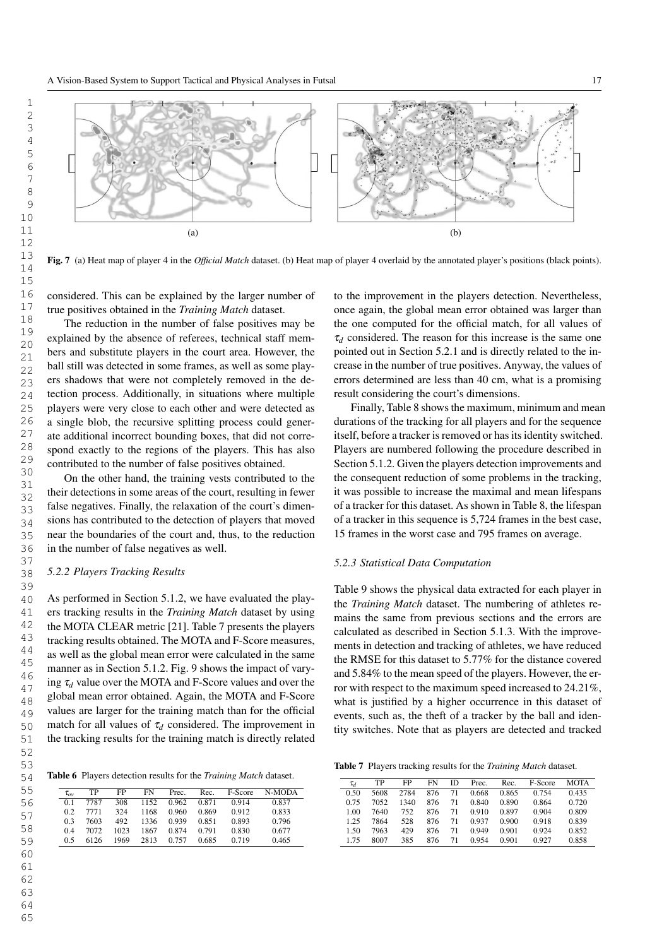

Fig. 7 (a) Heat map of player 4 in the *Official Match* dataset. (b) Heat map of player 4 overlaid by the annotated player's positions (black points).

considered. This can be explained by the larger number of true positives obtained in the *Training Match* dataset.

The reduction in the number of false positives may be explained by the absence of referees, technical staff members and substitute players in the court area. However, the ball still was detected in some frames, as well as some players shadows that were not completely removed in the detection process. Additionally, in situations where multiple players were very close to each other and were detected as a single blob, the recursive splitting process could generate additional incorrect bounding boxes, that did not correspond exactly to the regions of the players. This has also contributed to the number of false positives obtained.

On the other hand, the training vests contributed to the their detections in some areas of the court, resulting in fewer false negatives. Finally, the relaxation of the court's dimensions has contributed to the detection of players that moved near the boundaries of the court and, thus, to the reduction in the number of false negatives as well.

# *5.2.2 Players Tracking Results*

As performed in Section 5.1.2, we have evaluated the players tracking results in the *Training Match* dataset by using the MOTA CLEAR metric [21]. Table 7 presents the players tracking results obtained. The MOTA and F-Score measures, as well as the global mean error were calculated in the same manner as in Section 5.1.2. Fig. 9 shows the impact of varying  $\tau_d$  value over the MOTA and F-Score values and over the global mean error obtained. Again, the MOTA and F-Score values are larger for the training match than for the official match for all values of  $\tau_d$  considered. The improvement in the tracking results for the training match is directly related

Table 6 Players detection results for the *Training Match* dataset.

| $\tau_{ov}$ | TP   | FP   | FN   | Prec. | Rec.  | F-Score | N-MODA |
|-------------|------|------|------|-------|-------|---------|--------|
| 01          | 7787 | 308  | 1152 | 0.962 | 0.871 | 0.914   | 0.837  |
| 02          | 7771 | 324  | 1168 | 0.960 | 0.869 | 0.912   | 0.833  |
| 03          | 7603 | 492  | 1336 | 0.939 | 0.851 | 0.893   | 0.796  |
| 04          | 7072 | 1023 | 1867 | 0.874 | 0.791 | 0.830   | 0.677  |
| ሰ ና         | 6126 | 1969 | 2813 | 0.757 | 0.685 | 0.719   | 0.465  |

to the improvement in the players detection. Nevertheless, once again, the global mean error obtained was larger than the one computed for the official match, for all values of  $\tau_d$  considered. The reason for this increase is the same one pointed out in Section 5.2.1 and is directly related to the increase in the number of true positives. Anyway, the values of errors determined are less than 40 cm, what is a promising result considering the court's dimensions.

Finally, Table 8 shows the maximum, minimum and mean durations of the tracking for all players and for the sequence itself, before a tracker is removed or has its identity switched. Players are numbered following the procedure described in Section 5.1.2. Given the players detection improvements and the consequent reduction of some problems in the tracking, it was possible to increase the maximal and mean lifespans of a tracker for this dataset. As shown in Table 8, the lifespan of a tracker in this sequence is 5,724 frames in the best case, 15 frames in the worst case and 795 frames on average.

#### *5.2.3 Statistical Data Computation*

Table 9 shows the physical data extracted for each player in the *Training Match* dataset. The numbering of athletes remains the same from previous sections and the errors are calculated as described in Section 5.1.3. With the improvements in detection and tracking of athletes, we have reduced the RMSE for this dataset to 5.77% for the distance covered and 5.84% to the mean speed of the players. However, the error with respect to the maximum speed increased to 24.21%, what is justified by a higher occurrence in this dataset of events, such as, the theft of a tracker by the ball and identity switches. Note that as players are detected and tracked

Table 7 Players tracking results for the *Training Match* dataset.

| $\tau_d$ | TP   | FP   | FN  | ID | Prec. | Rec.  | F-Score | <b>MOTA</b> |
|----------|------|------|-----|----|-------|-------|---------|-------------|
| 0.50     | 5608 | 2784 | 876 | 71 | 0.668 | 0.865 | 0.754   | 0.435       |
| 0.75     | 7052 | 1340 | 876 | 71 | 0.840 | 0.890 | 0.864   | 0.720       |
| 1.00     | 7640 | 752  | 876 | 71 | 0.910 | 0.897 | 0.904   | 0.809       |
| 1.25     | 7864 | 528  | 876 | 71 | 0.937 | 0.900 | 0.918   | 0.839       |
| 1.50     | 7963 | 429  | 876 | 71 | 0.949 | 0.901 | 0.924   | 0.852       |
| 175      | 8007 | 385  | 876 | 71 | 0.954 | 0.901 | 0.927   | 0.858       |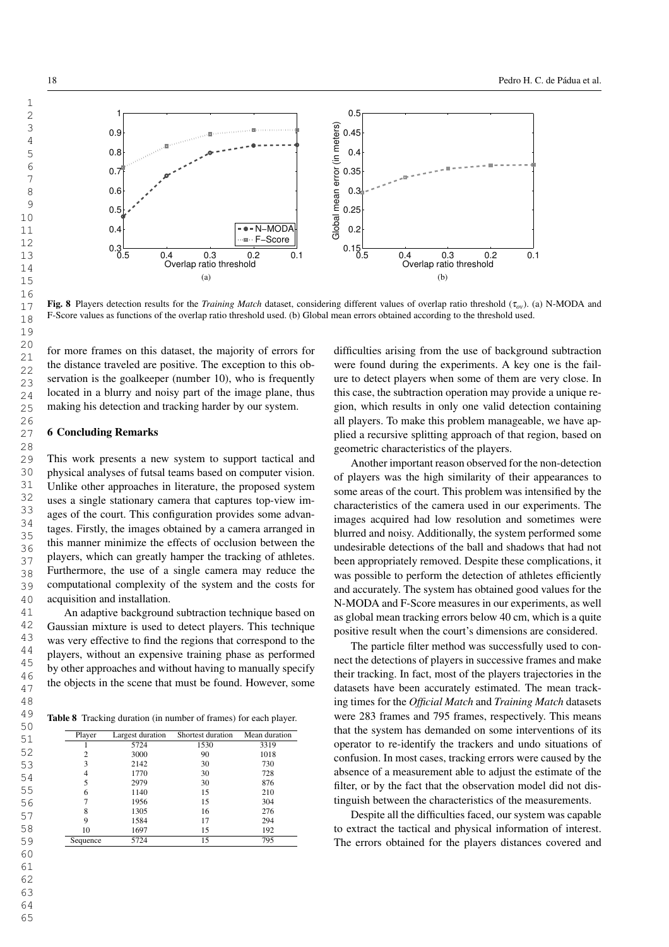

Fig. 8 Players detection results for the *Training Match* dataset, considering different values of overlap ratio threshold (<sup>τ</sup>*ov*). (a) N-MODA and F-Score values as functions of the overlap ratio threshold used. (b) Global mean errors obtained according to the threshold used.

for more frames on this dataset, the majority of errors for the distance traveled are positive. The exception to this observation is the goalkeeper (number 10), who is frequently located in a blurry and noisy part of the image plane, thus making his detection and tracking harder by our system.

# 6 Concluding Remarks

This work presents a new system to support tactical and physical analyses of futsal teams based on computer vision. Unlike other approaches in literature, the proposed system uses a single stationary camera that captures top-view images of the court. This configuration provides some advantages. Firstly, the images obtained by a camera arranged in this manner minimize the effects of occlusion between the players, which can greatly hamper the tracking of athletes. Furthermore, the use of a single camera may reduce the computational complexity of the system and the costs for acquisition and installation.

An adaptive background subtraction technique based on Gaussian mixture is used to detect players. This technique was very effective to find the regions that correspond to the players, without an expensive training phase as performed by other approaches and without having to manually specify the objects in the scene that must be found. However, some

Table 8 Tracking duration (in number of frames) for each player.

| Player   | Largest duration | Shortest duration | Mean duration |
|----------|------------------|-------------------|---------------|
|          | 5724             | 1530              | 3319          |
| 2        | 3000             | 90                | 1018          |
| 3        | 2142             | 30                | 730           |
| 4        | 1770             | 30                | 728           |
| 5        | 2979             | 30                | 876           |
| 6        | 1140             | 15                | 210           |
| 7        | 1956             | 15                | 304           |
| 8        | 1305             | 16                | 276           |
| 9        | 1584             | 17                | 294           |
| 10       | 1697             | 15                | 192           |
| Sequence | 5724             | 15                | 795           |

difficulties arising from the use of background subtraction were found during the experiments. A key one is the failure to detect players when some of them are very close. In this case, the subtraction operation may provide a unique region, which results in only one valid detection containing all players. To make this problem manageable, we have applied a recursive splitting approach of that region, based on geometric characteristics of the players.

Another important reason observed for the non-detection of players was the high similarity of their appearances to some areas of the court. This problem was intensified by the characteristics of the camera used in our experiments. The images acquired had low resolution and sometimes were blurred and noisy. Additionally, the system performed some undesirable detections of the ball and shadows that had not been appropriately removed. Despite these complications, it was possible to perform the detection of athletes efficiently and accurately. The system has obtained good values for the N-MODA and F-Score measures in our experiments, as well as global mean tracking errors below 40 cm, which is a quite positive result when the court's dimensions are considered.

The particle filter method was successfully used to connect the detections of players in successive frames and make their tracking. In fact, most of the players trajectories in the datasets have been accurately estimated. The mean tracking times for the *Official Match* and *Training Match* datasets were 283 frames and 795 frames, respectively. This means that the system has demanded on some interventions of its operator to re-identify the trackers and undo situations of confusion. In most cases, tracking errors were caused by the absence of a measurement able to adjust the estimate of the filter, or by the fact that the observation model did not distinguish between the characteristics of the measurements.

Despite all the difficulties faced, our system was capable to extract the tactical and physical information of interest. The errors obtained for the players distances covered and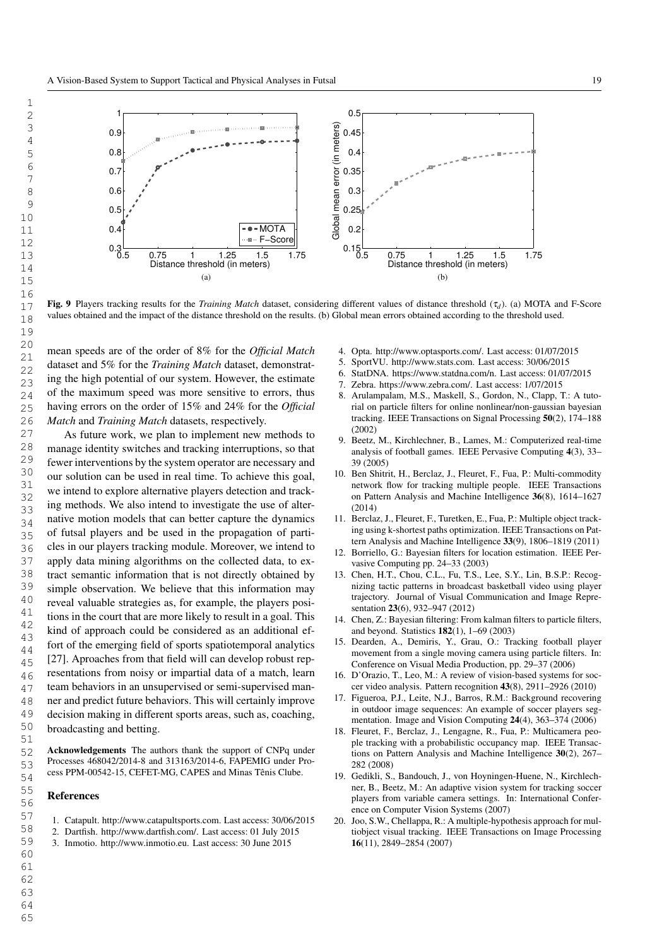

Fig. 9 Players tracking results for the *Training Match* dataset, considering different values of distance threshold (<sup>τ</sup>*<sup>d</sup>* ). (a) MOTA and F-Score values obtained and the impact of the distance threshold on the results. (b) Global mean errors obtained according to the threshold used.

mean speeds are of the order of 8% for the *Official Match* dataset and 5% for the *Training Match* dataset, demonstrating the high potential of our system. However, the estimate of the maximum speed was more sensitive to errors, thus having errors on the order of 15% and 24% for the *Official Match* and *Training Match* datasets, respectively.

As future work, we plan to implement new methods to manage identity switches and tracking interruptions, so that fewer interventions by the system operator are necessary and our solution can be used in real time. To achieve this goal, we intend to explore alternative players detection and tracking methods. We also intend to investigate the use of alternative motion models that can better capture the dynamics of futsal players and be used in the propagation of particles in our players tracking module. Moreover, we intend to apply data mining algorithms on the collected data, to extract semantic information that is not directly obtained by simple observation. We believe that this information may reveal valuable strategies as, for example, the players positions in the court that are more likely to result in a goal. This kind of approach could be considered as an additional effort of the emerging field of sports spatiotemporal analytics [27]. Aproaches from that field will can develop robust representations from noisy or impartial data of a match, learn team behaviors in an unsupervised or semi-supervised manner and predict future behaviors. This will certainly improve decision making in different sports areas, such as, coaching, broadcasting and betting.

Acknowledgements The authors thank the support of CNPq under Processes 468042/2014-8 and 313163/2014-6, FAPEMIG under Process PPM-00542-15, CEFET-MG, CAPES and Minas Tênis Clube.

#### References

- 1. Catapult. http://www.catapultsports.com. Last access: 30/06/2015
- 2. Dartfish. http://www.dartfish.com/. Last access: 01 July 2015
- 3. Inmotio. http://www.inmotio.eu. Last access: 30 June 2015
- 4. Opta. http://www.optasports.com/. Last access: 01/07/2015
- 5. SportVU. http://www.stats.com. Last access: 30/06/2015
- 6. StatDNA. https://www.statdna.com/n. Last access: 01/07/2015
- Zebra. https://www.zebra.com/. Last access: 1/07/2015
- 8. Arulampalam, M.S., Maskell, S., Gordon, N., Clapp, T.: A tutorial on particle filters for online nonlinear/non-gaussian bayesian tracking. IEEE Transactions on Signal Processing 50(2), 174–188 (2002)
- 9. Beetz, M., Kirchlechner, B., Lames, M.: Computerized real-time analysis of football games. IEEE Pervasive Computing 4(3), 33– 39 (2005)
- 10. Ben Shitrit, H., Berclaz, J., Fleuret, F., Fua, P.: Multi-commodity network flow for tracking multiple people. IEEE Transactions on Pattern Analysis and Machine Intelligence 36(8), 1614–1627 (2014)
- 11. Berclaz, J., Fleuret, F., Turetken, E., Fua, P.: Multiple object tracking using k-shortest paths optimization. IEEE Transactions on Pattern Analysis and Machine Intelligence 33(9), 1806–1819 (2011)
- 12. Borriello, G.: Bayesian filters for location estimation. IEEE Pervasive Computing pp. 24–33 (2003)
- 13. Chen, H.T., Chou, C.L., Fu, T.S., Lee, S.Y., Lin, B.S.P.: Recognizing tactic patterns in broadcast basketball video using player trajectory. Journal of Visual Communication and Image Representation 23(6), 932–947 (2012)
- 14. Chen, Z.: Bayesian filtering: From kalman filters to particle filters, and beyond. Statistics 182(1), 1–69 (2003)
- 15. Dearden, A., Demiris, Y., Grau, O.: Tracking football player movement from a single moving camera using particle filters. In: Conference on Visual Media Production, pp. 29–37 (2006)
- 16. D'Orazio, T., Leo, M.: A review of vision-based systems for soccer video analysis. Pattern recognition 43(8), 2911–2926 (2010)
- 17. Figueroa, P.J., Leite, N.J., Barros, R.M.: Background recovering in outdoor image sequences: An example of soccer players segmentation. Image and Vision Computing 24(4), 363–374 (2006)
- 18. Fleuret, F., Berclaz, J., Lengagne, R., Fua, P.: Multicamera people tracking with a probabilistic occupancy map. IEEE Transactions on Pattern Analysis and Machine Intelligence 30(2), 267– 282 (2008)
- 19. Gedikli, S., Bandouch, J., von Hoyningen-Huene, N., Kirchlechner, B., Beetz, M.: An adaptive vision system for tracking soccer players from variable camera settings. In: International Conference on Computer Vision Systems (2007)
- 20. Joo, S.W., Chellappa, R.: A multiple-hypothesis approach for multiobject visual tracking. IEEE Transactions on Image Processing 16(11), 2849–2854 (2007)